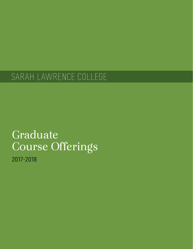# SARAH LAWRENCE COLLEGE

# Graduate Course Offerings

2017-2018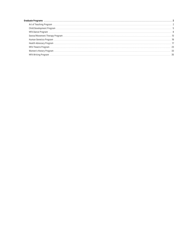| Human Genetics Program (and according to the control of the control of the control of the control of the control of the control of the control of the control of the control of the control of the control of the control of t |  |
|--------------------------------------------------------------------------------------------------------------------------------------------------------------------------------------------------------------------------------|--|
|                                                                                                                                                                                                                                |  |
|                                                                                                                                                                                                                                |  |
|                                                                                                                                                                                                                                |  |
|                                                                                                                                                                                                                                |  |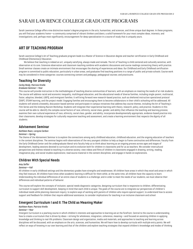# <span id="page-2-0"></span>SARAH LAWRENCE COLLEGE GRADUATE PROGRAMS

Sarah Lawrence College offers nine distinctive master's degree programs in the arts, humanities, and sciences, and three unique dual degrees. In these programs, you will find your academic home—a community comprised of vibrant thinkers and doers; a solid framework for your most complex ideas, interests, and investigations; and, perhaps most significantly, encouragement for deep specialization in a course of study that is uniquely yours.

# <span id="page-2-1"></span>**ART OF TEACHING PROGRAM**

Sarah Lawrence College's Art of Teaching graduate program leads to a Master of Science in Education degree and teacher certification in Early Childhood and Childhood (Elementary) Education.

We believe that teaching is indeed an art, uniquely satisfying, always made and remade. The Art of Teaching is child centered and culturally sensitive, with observation at its core. Extensive observation and classroom teaching combine with academic discussions and course readings connecting theory with practice. Small seminar classes create an intimate environment that encourages the sharing of experiences and ideas. Our Childhood and Early Childhood certification program is committed to public education, particularly in urban areas, and graduates find teaching positions in a range of public and private schools. Course work may be considered in three categories: courses connecting content and pedagogy; pedagogical courses; and practicums.

# **Teaching for Diversity**

*Carley Reidy, Patricia Virella*

# *Graduate Seminar—Year*

This course will provide instruction in the methodologies of teaching diverse communities of learners, with an emphasis on meeting the needs of at-risk students. The course will address racial and economic inequality, multilingual education, and the educational needs of diverse families, including single-parent, multiracial, foster, adoptive, blended, LGBTQ, and immigrant families. It will bring forward new research-based practice, such as sheltered instruction operational protocol (SIOP), STEAM learning, and the project model. Engaging families and encouraging them to become collaborators in their child's schooling will be addressed. All students will attend a biweekly, discussion-based seminar and participate in campus initiatives that address key course themes, including the Art of Teaching's Film Series and the Undoing Racism Workshop. Students will integrate their experiential learning with theory, research, policy, and practice. Students in this course will be able to: identify the complex social factors of race, ethnicity, social class, gender, and ability that influence the teaching and learning process; examine their own cultural experience of race, ethnicity, social class, gender, and ability; incorporate developmentally appropriate, evidence-based practice into their classrooms; develop strategies for culturally responsive teaching and assessment; and create a learning environment that respects the dignity of all students.

# **Advisement Seminar**

## *Kathleen Ruen, Lorayne Carbon*

## *Seminar—Spring*

The theme of the Advisement Seminar is to explore the connections among early childhood education, childhood education, and the ongoing education of teachers in the content disciplines. The seminar begins with observations of the very youngest children to help us begin to frame continuities and differences. Faculty from the Early Childhood Center and the undergraduate liberal-arts faculty help us to think about learning as an ongoing process across ages and stages of development, leading sessions devoted to curriculum and its evolution both for children in classrooms and for us as teachers. We consider intercultural perspectives and themes related to teaching in a diverse society; view videos and films of children in classrooms engaged in drawing, writing, reading, imaginative play, and social-studies explorations; read source material in the content disciplines; and engage in hands-on explorations.

# **Children With Special Needs**

## *Amy Soffer*

## *Seminar—Fall*

All children in early childhood settings and the elementary grades have strengths and weaknesses. All children have areas in which they excel and areas in which they feel insecure. All children have times when academic learning is difficult for them while, at the same time, all children have the capacity to learn. Understanding the individual differences of an entire class of students is a challenge; and in order to meet the needs of our students, we must observe their differences and individual patterns of behavior.

This course will explore the concepts of inclusion, special needs diagnostic categories, designing curriculum that is responsive to children, differentiating curriculum to support skill development, keeping in mind that each child is unique. The goals of the course are to integrate our perspectives of children's individual needs while planning classroom inquiry; to explore ways of working with parents of children who require special support; to understand how to access support and feedback for children that require additional assistance; to consider implications for teaching in an inclusive classroom and school.

# **Emergent Curriculum I and II: The Child as Meaning Maker**

## *Kathleen Ruen, Patricia Virella*

## *Seminar—Year*

Emergent Curriculum is a yearlong course in which children's interests and approaches to learning are at the forefront. Central to the course is understanding how to create a curriculum that is driven by ideas—striving for wholeness, integration, coherence, meaning—and focused on assisting children in applying knowledge and thinking to real-life problems. Classroom design and organization, media and materials, and approaches to teaching and learning across disciplines will be discussed, with an emphasis on the arts, sciences, and humanities. We will learn how to develop curricula with multiple entry points. We will reflect on ways of knowing in our own learning and that of the children and explore teaching strategies that expand children's knowledge and modes of thinking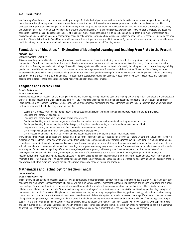#### 3 **Art of Teaching Program**

and learning. We will discuss curriculum and teaching strategies for individual subject areas, with an emphasis on the connections among disciplines, building toward an interdisciplinary approach to curriculum and instruction. The roles of the teacher as observer, provisioner, collaborator, and facilitator will be discussed. During the year, we will engage in hands-on inquiry in workshop settings and take multiple local field trips to environmental centers, historical sites, and arts museums—reflecting on our own learning in order to draw implications for classroom practice. We will discuss how children's interests and questions connect to the large ideas and questions at the core of the subject matter disciplines. Value will be placed on enabling in-depth inquiry, experimentation, and discovery and on establishing classroom communities based on collaborative learning and rooted in social justice. National and state standards, including the New York State Standards for the Arts, Social Studies, and Sciences, will be critiqued and integrated into our work. By the end of the year, students will create their own multidisciplinary curriculum plan, which will become a resource for colleagues and Art of Teaching alumni.

# **Foundations of Education: An Exploration of Meaningful Learning and Teaching From Plato to the Present**

## *Kathleen Ruen*

## *Graduate Seminar—Summer*

This course will explore multiple lenses through which we view the concept of Education, including theoretical, historical, political, sociological and cultural perspectives. We will begin by considering the historical roots of contemporary education, with particular emphasis on the history of public education in the United States. Drawing on a variety of readings, films and in-class projects, we will examine constructs of diversity including race, class, culture, language, ability, gender, and sexual identity and discover ways to create an inclusive learning environment for students and their families. The work of John Dewey and other Progressive educators will provide a basis for looking at democratic ideals and "pendulum swings" in American education, including current debates concerning standards, testing practices, and political agendas. Throughout the course, students will be asked to reflect on their own school experiences and field work observations in order to make connections between history and current educational practices.

# **Language and Literacy I and II**

## *Jerusha Beckerman*

#### *Graduate Seminar—Year*

This two-semester course focuses on the making of meaning and knowledge through listening, speaking, reading, and writing in early childhood and childhood. All children—English speakers and English language learners—are recognized as capable of learning and of becoming competent English language and literacy users. Emphasis is on teaching that takes into account each child's approaches to learning and pace in learning, valuing the complexity in developing instruction that builds upon what the child already knows and can do.

- Learning is a process by which each person actively constructs meaning from experience, including encounters with print and nonprint texts.
- Language and literacy are social acts.
- Language and literacy develop in the pursuit of real-life enterprise.
- Reading and writing, as with spoken language, are best learned in rich, interactive environments where they serve real purposes.
- Reading and writing do not develop in predefined stages; rather, literacy understanding is complex and unique to the individual.
- Language and literacy cannot be separated from the total expressiveness of the person.
- Literacy is power, and children must have every opportunity to know its power.
- Literacy teaching and learning must be re-envisioned to accommodate a multimodal, multilingual, multimedia world.

We will build our knowledge of language and literacy learning upon these assumptions by reflecting on ourselves as readers, writers, and language users. We will explore how children learn to read and write by observing them as they use language and literacy for real purposes. We will consider new media and technologies as modes of communication and expression and consider how they are reshaping the future of literacy. Our observations of children and our own literacy stories will help us understand the range and complexity of meanings and approaches among any group of learners. Our observations and recollections also will provide an entry point for discussions regarding differences in race, class, ethnicity, gender, and learning style. The challenge for schools to be inclusive of the diversity—to enable each child to differ, yet belong to the community of learners—lies at the core of our work. We will, through our Child Studies, our recollections, and the readings, begin to develop a picture of inclusive classrooms and schools in which children have the "space to dance with others" and the "room to differ" (Patricia F. Carini). The course paper will be an in-depth inquiry focused on language and literacy teaching and learning and on classroom practice and work with children, examined through the lens of your own philosophy, thought, values, and standards.

# **Mathematics and Technology for Teachers I and II**

## *Debbie Kurtzberg*

#### *Graduate Seminar—Year*

This course will place strong emphasis on students' own understanding of mathematics as directly related to the mathematics that they will be teaching in earlychildhood and elementary-school classrooms. The course will focus on core concepts of mathematics teaching and learning: the science of patterns and number relationships. Patterns and functions will serve as the lenses through which students will examine connections and applications of the topics to the early childhood and childhood school curricula. Students will develop understandings of the content, concepts, computation, and teaching and learning strategies of mathematics in schools. Emphasis will be placed on constructivist teaching and learning; inquiry-based learning; problem solving; and mathematical reasoning, connections, and communication. Students will be exposed to techniques in differentiating instruction that addresses learning differences and the special needs of English-language learners, as well as ways to identify tasks that challenge and augment mathematical understandings. The use of technology as an integral support for the understanding and application of mathematics will also be a focus of the course. Each class session will provide students with opportunities to engage in authentic mathematical activities, followed by sharing these experiences and ways to implement similar, engaging mathematical tasks in classrooms. As part of their conference work, students will create a concept teaching game and a presentation of the solutions to complex problems.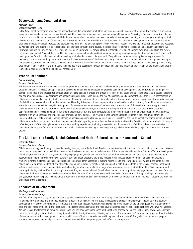# **Observation and Documentation**

## *Kathleen Ruen*

#### *Graduate Seminar—Fall*

In the Art of Teaching program, we place the observation and documentation of children and their learning at the center of teaching. The emphasis is on seeing every child as capable, unique, and knowable and on children as active makers of their own meaning and knowledge. Observing is focused on what the child can do and is interested in and on how each child thinks and learns. We assume that teachers create their knowledge of teaching and learning through longitudinal observation and documentation of each child as a thinker and learner. This knowledge is the foundation for curriculum development and instructional planning that accommodate individual interests and approaches to learning. The ideas and processes developed at Prospect Archive and Center for Education and Research, by Patricia Carini and others, will be the foundation of the work throughout the course. The Prospect Descriptive Processes and, in particular, the Descriptive Review of the Child will give students a formal and systematic framework for drawing together their observations of children over time. In addition, the review processes developed at Prospect Center will be discussed as avenues for collaborative inquiry and meaning-making among educators and parents. Students will participate in a Descriptive Review and will review longitudinal collections of children's work. They will also learn about descriptive inquiry processes for reviewing curricula and teaching practice. Students will share observations of children in both early childhood and childhood education settings and develop a language of description. We will discuss the importance of creating classrooms where each child is visible through strength. Students will develop a child study that includes: a description of the child using the headings of the Descriptive Review, a collection of the child's work, and reflections on the implications that the longitudinal documentation of the child holds for teaching.

# **Practicum Seminar**

## *Debbie Kurtzberg*

#### *Graduate Seminar—Year*

The Practicum Seminar is a yearlong course that supports early childhood and childhood student-teaching experiences and provides opportunities to draw together the ideas, processes, and approaches in early childhood and childhood teaching practice, curriculum development, and instructional planning across content disciplines in prekindergarten through grade two settings and in grades one-through-six classrooms. Issues and questions that arise in student teaching and continue to be present in classrooms and schools will be explored. These include the role of observation and documentation as they inform assessments of children's learning and of teaching itself; the creation of learning environments for children from birth through grade two and in grades one through six, inclusive of all children across racial, ethnic, socioeconomic, and learning differences; the development of approaches that enable continuity for children between home and school and in their school lives; the development of classrooms as communities of learners; and the exploration of the teacher's role and approaches to classroom organization and structure that relate to very young and elementary-age children. Other topics of importance in the course are the creation of opportunities and processes for collaboration among teachers, parents, and administrators and the development of strategies to reflect on, renew, and revise teaching with an emphasis on the importance of professional development. The Practicum Seminar also supports students in their continued efforts to understand the political nature of teaching, placing emphasis on educating for a democratic society. The roles of the family, school, and community in educating children are explored, as well as current philosophies and climate regarding home, school, and community relationships. Practicum Seminar students will keep a reflective journal of their field placement and student-teaching experiences, including observation and documentation of children, classrooms, activities, curriculum planning and facilitation, materials, and media. Students will also begin to develop, refine, and share their thinking regarding their master's project topics.

# **The Child and the Family: Social, Cultural, and Health-Related Issues at Home and in School**

# *Linwood J. Lewis*

## *Graduate Seminar—Summer*

Children must struggle with many issues while making their way toward adulthood. Teachers' understandings of family culture and the interconnections between health and learning are crucial to children's success in the classroom and central to the content of this course. We will study how families affect the development of children, for no other unit of analysis more richly displays gender, social, and cultural factors and their influence on individual behavior and development. Today, children spend more time than ever before in early childhood programs and grade schools. We will investigate how families and schools provide a framework for the exploration of the social world and socialize children according to cultural norms. Health and learning are intertwined in the context of the child's social, emotional, intellectual, and physical development. In order for teachers to be equipped to help their students in the areas of personal health and safety, we will review the national and state health learning standards, as well as the range of environmental factors that inhibit children's development and learning (including the identification and implications of drug and alcohol abuse). We will also examine the social, political, and psychological concerns faced by children with chronic diseases and by their families, and the plethora of health-care issues with which they must contend. Through readings and case-study analyses, students will explore the importance of teachers' understanding of the complexities of the lives of children and families to better prepare them for the challenges of the classroom.

# **Theories of Development**

# *Kim Ferguson (Kim Johnson)*

# *Graduate Seminar—Spring*

The field of developmental psychology has been shaped by several different, and often conflicting, visions of childhood experience. These visions have, in turn, influenced early childhood and childhood education practice. In this course, we will study the classical theories—behaviorist, psychoanalytic, and cognitivedevelopmental—as they were originally formulated and in light of subsequent critiques and revisions. We will focus on the kinds of questions that each theory asks and the "image of the child" that each puts forth. Recent challenges within the field have highlighted specific conceptual problems, which we will address. Are patterns of development universal or culture- specific? Can childhood experiences be thought of as proceeding in a series of stages? How do we construct methods for studying children that will recognize and validate the significance of differing social and cultural experiences? How can we forge a multicultural view of development such that development is understood in terms of how it is experienced within a given cultural context? The goal of the course is to prepare students to integrate theory and practice into their work with children. Required papers will reflect this integration.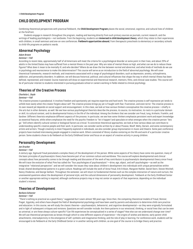# <span id="page-5-0"></span>**CHILD DEVELOPMENT PROGRAM**

Combining theoretical perspectives with practical fieldwork, the **Child Development Program** places the social, emotional, cognitive, and cultural lives of children at the forefront.

Students engage in research throughout the program, reading and learning directly from such primary sources as journals, current research, and the writings of leading psychologists—not textbooks. From the beginning, students are **immersed in child development theory**, which they relate to their experiences with children, in small seminars and one-on-one conferences. **Fieldwork opportunities abound**, from therapeutic preschools to elementary or secondary schools to child-life programs on pediatric wards.

# **Abnormal Psychology**

#### *Adam Brown*

#### *Seminar—Fall*

According to recent data, approximately half of all Americans will meet the criteria for a psychological disorder at some point in their lives, and about 25% of adults in the United States may have suffered from a mental illness in the past year. Why are rates of mental illness so high, and what can we do to reduce these figures? What does it mean to be mentally ill, and who decides? Where do we draw the line between normal and abnormal, and what kinds of methods do we use in psychology and neuroscience to make this determination? This course will serve as an introduction to the field of abnormal psychology. We will cover theoretical frameworks, research methods, and treatments associated with a range of psychological disorders, such as depression, anxiety, schizophrenia, addiction, and personality disorders. In addition, we will discuss historical, political, and cultural influences that shape the way in which mental illness has been defined, represented, and treated. Course materials will draw on experimental and theoretical research, memoirs, films, and clinical case studies. This course will be of particular interest to students interested in pursuing graduate school or careers working in fields related to clinical psychology.

# **Theories of the Creative Process**

## *Charlotte L. Doyle*

#### *Seminar—Fall*

The creative process is paradoxical. It involves freedom and spontaneity yet requires expertise and hard work. The creative process is self-expressive yet tends to unfold most easily when the creator forgets about self. The creative process brings joy yet is fraught with fear, frustration, and even terror. The creative process is its own reward yet depends on social support and encouragement. In this class, we look at how various thinkers conceptualize the creative process—chiefly in the arts but in other domains, as well. We see how various psychological theorists describe the process, its source, its motivation, its roots in a particular domain or skill, its cultural context, and its developmental history in the life of the individual. Among the thinkers that we consider are Freud, Jung, Arnheim, Franklin, and Gardner. Different theorists emphasize different aspects of the process. In particular, we see how some thinkers emphasize persistent work and expert knowledge as essential features, while others emphasize the need for the psychic freedom to "let it happen"and speculate on what emerges when the creative person "lets go." Still others identify cultural context or biological factors as critical. To concretize theoretical approaches, we look at how various ideas can contribute to understanding specific creative people and their work. In particular, we consider works written by or about Picasso, Woolf, Welty, Darwin, and some contemporary artists and writers. Though creativity is most frequently explored in individuals, we also consider group improvisation in music and theatre. Some past conference projects have involved interviewing people engaged in creative work. Others consisted of library studies centering on the life and work of a particular creative person. Some students chose to do fieldwork at the Early Childhood Center and focus on an aspect of creative activity in young children.

# **Personality Development**

# *Jan Drucker*

# *Seminar—Fall*

A century ago, Sigmund Freud postulated a complex theory of the development of the person. While some aspects of his theory have come into question, many of the basic principles of psychoanalytic theory have become part of our common culture and worldview. This course will explore developmental and clinical concepts about how personality comes to be through reading and discussion of the work of key contributors to psychoanalytic developmental theory since Freud. We will trace the evolution of what Pine has called the "four psychologies of psychoanalysis"—drive, ego, object, and self-psychologies—as well as the integrative "relational perspective"; and we will consider the issues they raise about children's development into individuals with unique personalities within broad, shared developmental patterns in a given culture. Readings will include the work of Anna Freud, Erik Erikson, Margaret Mahler, Daniel Stern, Steven Mitchell, Nancy Chodorow, and George Vaillant. Throughout the semester, we will return to fundamental themes such as the complex interaction of nature and nurture, the unanswered questions about the development of personal style, and the cultural dimensions of personality development. Fieldwork at the Early Childhood Center or another appropriate setting is required, although conference projects may or may not center on aspects of that experience, depending on the individual student's interest.

# **Theories of Development**

# *Barbara Schecter*

## *Seminar—Fall*

"There's nothing so practical as a good theory," suggested Kurt Lewin almost 100 years ago. Since then, the competing theoretical models of Freud, Skinner, Piaget, Vygotsky, and others have shaped the field of developmental psychology and have been used by parents and educators to determine child-care practice and education. In this course, we will study the classic theories—psychoanalytic, behaviorist, and cognitive-developmental—as they were originally formulated and in light of subsequent critiques and revisions. Questions we will consider include: Are there patterns in our emotional, thinking, or social lives that can be seen as universal, or are these always culture-specific? Can life experiences be conceptualized in a series of stages? How else can we understand change over time? We will use theoretical perspectives as lenses through which to view different aspects of experience—the origins of wishes and desires, early parent-child attachments, intersubjectivity in the emergence of self, symbolic and imaginative thinking, and the role of play in learning. For conference work, students will be encouraged to do fieldwork at the Early Childhood Center or in another setting with children, as one goal of the course is to bridge theory and practice.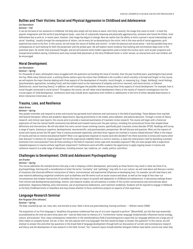# **Bullies and Their Victims: Social and Physical Aggression in Childhood and Adolescence**

# *Carl Barenboim*

## *Seminar—Fall*

It can be the bane of our existence in childhood: the bully who simply will not leave us alone. Until fairly recently, the image that came to mind—in both the popular imagination and the world of psychological study—was that of a physically imposing and physically aggressive boy, someone who found the littlest, most defenseless boy to pick on. In recent years, however, that image has begun to change. Now we realize that the ability to harm a person's social relationships and social "standing," usually through the manipulation of others, can be every bit as devastating to the victim. And in this new world of social aggression, girls' expertise has come to the fore. In this course, we will study the nature of bullies and victims—in both the physical and social sense—and the possible long-term consequences of such bullying for both the perpetrator and the picked upon. We will explore recent evidence that bullying and victimization begin even in the preschool years, far earlier than previously thought; and we will examine some modern approaches used to break this vicious cycle, such as peer programs and interpersonal problem solving. Conference work may include field placement at the Early Childhood Center or other venues, as interactions with real children will be encouraged.

# **Moral Development**

## *Carl Barenboim*

## *Seminar—Spring*

For thousands of years, philosophers have struggled with the questions surrounding the issue of morality. Over the past hundred years, psychologists have joined the fray. While many theories exist, a unifying theme centers upon the notion that childhood is the crucible in which morality is formed and forged. In this course, we will explore the major theories dealing with three aspects of the development of morality: moral thought, or reasoning (e.g., Piaget, Kohlberg); moral feelings (psychoanalytic approaches, including Freud, and the modern work on the importance of empathy and mirror neurons); and moral actions, or behavior (behaviorism, social-learning theory). In addition, we will investigate the possible relations among these three aspects of moral development. For example, how is moral thought connected to moral action? Throughout the course, we will relate moral development theory to the results of research investigations into this crucial aspect of child development. Conference work may include direct experience with children or adolescents in the form of either detailed observations or direct interaction (interviews, etc.).

# **Trauma, Loss, and Resilience**

## *Adam Brown*

#### *Seminar—Spring*

How people remember and respond to stress and trauma has garnered much attention and controversy in the field of psychology. These debates have reached well beyond therapists' offices and academic departments, figuring prominently in the media, policy debates, and judicial decisions. Through a review of theory, research, and clinical case reports, this course aims to provide a nuanced examination of traumatic stress research. The course will begin with a historical exploration of how the mental-health community has defined and treated trauma over the past century, including the sociocultural forces that shaped these definitions and interventions. We will also delve into more current issues involving trauma, specifically post-traumatic stress disorder (PTSD). Readings will survey a range of topics, drawing on cognitive, developmental, neuroscientific, and psychoanalytic perspectives. We will discuss and question: What are the impacts of stress and trauma across the life span? How is trauma processed cognitively, and what brain regions are involved in trauma-related distress? What is the impact of trauma and loss on mental and physical health? What is an appropriate response to trauma (and who decides)? Are there outcomes to stress and trauma other than distress? Is memory for trauma special? Are horrific experiences indelibly fixed in a victim's memory, or does the mind protect itself by banishing traumatic memories from consciousness? How do those working in the field of traumatic stress cope with secondary exposure? Why are some people able to experience repeated exposure to trauma without significant impairment? Conference work will offer students the opportunity to apply ongoing issues in trauma and resilience research to a wide range of disciplines, including science, law, medicine, art, media, politics, and ethics.

# **Challenges to Development: Child and Adolescent Psychopathology**

## *Jan Drucker*

#### *Seminar—Spring*

This course addresses the multiple factors that play a role in shaping a child's development, particularly as those factors may result in what we think of as psychopathology. Starting with a consideration of what the terms "normality" and "pathology" may refer to in our culture, we will read about and discuss a variety of situations that illustrate different interactions of inborn, environmental, and experiential influences on developing lives. For example, we will read theory and case material addressing congenital conditions such as deafness and life events such as acute trauma and abuse, as well as the range of less clear-cut circumstances and complex interactions of variables that have an impact on growth and adaptation in childhood and adolescence. In discussing readings drawn from clinical and developmental psychology, memoir, and research studies, we will examine a number of the current conversations and controversies about assessment, diagnostic/labeling, early intervention, use of psychoactive medications, and treatment modalities. Students will be required to engage in fieldwork at the Early Childhood Center or elsewhere and may choose whether to focus conference projects on aspects of that experience.

# **Language Research Seminar**

*Kim Ferguson (Kim Johnson) Seminar—Spring The baby, assailed by eye, ear, nose, skin, and entrails at once, feels it all as one great blooming, buzzing confusion.* —William James (1890)

The acquisition of our first language is "doubtless the greatest intellectual feat any of us is ever required to perform" (Bloomfield), yet this feat was essentially accomplished by the time we were three years old—and we likely have no memory of it. Furthermore, human language fundamentally influences human ecology, culture, and evolution. Thus, many contemporary researchers in the interdisciplinary field of psycholinguistics argue that our language abilities are a large part of what makes us uniquely human. Are we, in fact, the only species with true language? And how would we begin to answer this question? In this course, we will attempt to answer this and other key questions in the broad field of language development through both our discussions of current and contemporary research and theory and the development of new research in this field. Current "hot" research topics include whether bilingual children have better control over what they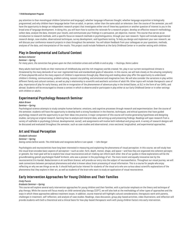# 7 **Child Development Program**

pay attention to than monolingual children (attention and language); whether language influences thought; whether language acquisition is biologically programmed; and why children learn language better from an adult, in-person, rather than the same adult on television. Over the course of the semester, you will have the opportunity to design an independent research project that investigates either one of these key questions or another question of interest to you in the broad area of language development. In doing this, you will learn how to outline the rationale for a research project, develop an effective research methodology, collect data, analyze the data, interpret your results, and communicate your findings in a persuasive, yet objective, manner. This course thus serves as an introduction to research methods, with a specific focus on research methods in psycholinguistics, through your own research. Topics will include experimental research design, case studies, observational techniques, survey development, and hypothesis testing. To help you design and implement your own research, we will discuss your conference research projects in class throughout the semester. You will obtain feedback from your colleagues on your questions, methods, analyses of the data, and interpretation of the results. This project could include fieldwork at the Early Childhood Center or in another setting with children.

# **Play in Developmental and Cultural Context**

# *Barbara Schecter*

#### *Seminar—Spring*

*For many years, the conviction has grown upon me that civilization arises and unfolds in and as play. —*Huizinga, *Homo Ludens*

Many adults look back fondly on their memories of childhood play and the rich imaginary worlds created. Yet, play in our current sociopolitical climate is threatened by the many demands of our over-regimented lives and standardized goals of education. In this course, we will look closely at the amazing complexity of those playworlds and at the many aspects of children's experiences through play. Observing and reading about play offer the opportunity to understand children's thinking, communicating, problem solving, nascent storytelling, and emotional and imaginative lives. We will also consider the variations in play within different family and cultural contexts, as well as play's relationship to scientific and aesthetic activities of adult life. Other topics will include therapeutic uses of play, importance of play for early literacy, and the re-invigoration of the phenomenon of adventure play in the United States, at SLC in the form of our CAPEs, and abroad. Students will be encouraged to choose a context in which to observe and/or participate in play either at our Early Childhood Center or in other settings with children or adults.

# **Experimental Psychology Research Seminar**

*Adam Brown*

## *Seminar—Spring*

Psychological science attempts to study complex human behavior, emotions, and cognitive processes through research and experimentation. Over the course of the semester, students will have the opportunity to develop both a strong foundation in the theories, techniques, and ethical questions that have guided psychology research and the opportunity to put their ideas into practice. A major component of this course will involve generating hypotheses and designing studies, carrying out original research, learning how to analyze and interpret data, and writing up and presenting findings. Readings will span research from a variety of subfields in psychology (clinical, developmental, social), and assignments will involve both individual and group work. A variety of research designs will be discussed and evaluated throughout the semester, such as case studies and observational, cross-sectional, longitudinal, and experimental approaches.

# **Art and Visual Perception**

*Elizabeth Johnston Seminar—Spring Seeing comes before words. The child looks and recognizes before it can speak.* —John Berger

Psychologists and neuroscientists have long been interested in measuring and explaining the phenomena of visual perception. In this course, we will study how the visual brain encodes basic aspects of perception—such as color, form, depth, motion, shape, and space—and how they are organized into coherent percepts or gestalts. Our main goal will be to explore how visual neuroscience and art-making can inform each other. One of our guides in these explorations will be the groundbreaking gestalt psychologist Rudolf Arnheim, who was a pioneer in the psychology of art. The more recent and equally innovative text by the neuroscientist Eric Kandel, *Reductionism in Art and Brain Science*, will provide our entry into the subject of neuroaesthetics. Throughout our visual journey, we will seek connections between perceptual phenomena and what is known about brain processing of visual information. This is a course for people who enjoy reflecting on why we see things as we do. It should hold particular interest for students of the visual arts who are curious about scientific explanations of the phenomena that they explore in their art, as well as students of the brain who want to study an application of visual neuroscience.

# **Early Intervention Approaches for Young Children and Their Families**

# *Cindy Puccio*

# *Graduate Seminar—Spring*

This course will explore several early intervention approaches for young children and their families, with a particular emphasis on the theory and technique of play therapy. While the course will focus mostly on child-centered play therapy (CCPT), we will also look at the methodology of other types of approaches and the ways in which these approaches address treatment issues. In addition, course material will highlight cultural considerations, therapeutic work with parents, challenges in treatment, self-reflection, and analysis of case studies. Readings, class discussion, group play-based activities, video illustrations, and reflection will provide students with both a theoretical and a clinical basis for how play-based therapeutic work with young children factors into early intervention.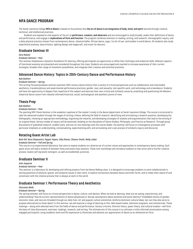# <span id="page-8-0"></span>**MFA DANCE PROGRAM**

The Sarah Lawrence College **MFA in Dance** is based on the premise that **the art of dance is an integration of body, mind, and spirit** learned through creative, technical, and intellectual practices.

Students are exposed to vital aspects of the art as **performers, creators, and observers** and are encouraged to study broadly, widen their definitions of dance and performance, and engage in **explorations of form and function**. The program combines seminars in reading, writing, and research; choreographic inquiry; and a daily physical practice chosen from contemporary dance, classical ballet, African dance, yoga, t'ai chi ch'uan, and studies in world dance. All students also study experiential anatomy, dance history, lighting design and stagecraft, and music for dancers.

# **Graduate Seminar III**

*Sara Rudner*

#### *Graduate Seminar—Year*

This seminar emphasizes a dynamic foundation for dancing, offering participants an opportunity to refine their technique and analytical skills. Relevant aspects of functional anatomy are presented and considered throughout this class. Students are encouraged and coached to increase awareness of their current strategies, broaden their range of movement possibilities, and integrate their creative and technical practices.

# **Advanced Dance History: Topics in 20th-Century Dance and Performance History**

#### *Kyle Bukhari*

#### *Graduate Seminar—Spring*

This writing-focused graduate seminar examines 20th-century dance history from a variety of critical perspectives such as collaboration and intermedial aesthetics; transdisciplinary and experimental performance practices; gender, race, and sexuality; site-specific work; and technology and screendance. Students will have the opportunity to deepen their expertise of the subject and exercise their own critical and scholarly voices by unsettling and questioning the Western theatrical dance canon from robustly informed historical, social, technological, and aesthetic points of view.

# **Thesis Prep**

#### *Kyle Bukhari*

#### *Graduate Seminar—Year*

The yearlong MFA Thesis Seminar is the academic capstone of the master's study in the dance department at Sarah Lawrence College. The course is structured to take the advanced student through the stages of writing a thesis: defining the field of research, identifying and articulating a research question, developing the bibliography, choosing an appropriate methodology, organizing the material, and developing strategies of analysis and argumentation that lead to the writing of an original thesis. Various modes of inquiry will be examined, drawing on the disciplines of Dance Studies, Philosophy, and Practice as Research. Through group discussions of published research, student work, and one-on-one meetings with the course leader, the seminar will focus on investigative processes with particular emphasis on understanding, contextualizing, experimenting with, and articulating one's own process of scholarly inquiry and discourse.

# **Rotating Guest Artist Lab**

## *Beth Gill, Nora Chipaumire, Pepper Fajans, Silas Riener, Eleanor Smith, Molly Lieber*

#### *Graduate Seminar—Fall and Spring*

This course is an experimental laboratory that aims to expose students to a diverse set of current voices and approaches to contemporary dance making. Each guest artist will lead a module of between three and seven class sessions. These mini-workshops will introduce students to that artist and to his/her creative process. Guests will represent emergent, as well as established, practices.

# **Graduate Seminar II**

#### *John Jasperse*

#### *Graduate Seminar—Year*

This seminar is a laboratory for developing and refining projects from the Dance Making class. It is designed to encourage students to work collaboratively in solving questions of physical, spatial, and temporal issues in their work, to explore connections between dance and other forms, and to make them aware of and conversant with the creative process that is always at work in the world.

# **Graduate Seminar I: Performance Theory and Aesthetics**

# *Charmian Wells*

# *Graduate Seminar—Spring*

The spring semester will focus on critical perspectives in dance, culture, and identity. When we look at dancing, what are we seeing, experiencing, and understanding? How do current representations of dance perpetuate or disrupt assumptions about personal and social identity? Embedded notions of gender, economic class, and race are threaded through our daily lives. Art and popular culture sometimes reinforce dominant cultural ideas, but can they also serve to propose alternatives to those ideas? In this seminar, we will examine a range of dancing on film, Web-based media, television programs, and commercials. These viewings—along with selected texts from the fields of dance and performance, literary criticism, feminist theory, queer theory, and cultural studies—will form the basis of class discussions, exercises, readings, research, and writing. The ultimate aim of this course is to cultivate a richly informed conversation among engaged participants, using academic work and life experience to illuminate and advance our appreciation of dance as an elemental art form.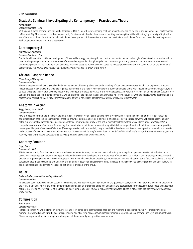# **Graduate Seminar I: Investigating the Contemporary in Practice and Theory**

## *Kyle Bukhari*

## *Graduate Seminar—Fall*

Writing about dance performance will be the topic for fall 2017. This will involve reading past and present criticism, as well as writing about current performances in New York City. This seminar provides an opportunity for students to develop their research, writing, and analytical skills while studying a variety of topics that are of interest to them. Recent subjects have included investigations of the creative process, dance criticism, world dance forms, and the collaborative process. Each project culminates in an oral presentation.

# **Contemporary 3**

## *Jodi Melnick, Paul Singh*

## *Graduate Seminar—Year*

Emphasis will be on the continued development of basic skills, energy use, strength, and control relevant to the particular style of each teacher. Attention will be given to sharpening each student's awareness of time and energy and to disciplining the body to move rhythmically, precisely, and in accordance with sound anatomical principles. The students in this advanced class will study complex movement patterns, investigate somatic use, and concentrate on the demands of performance. *The course will be taught by Ms. Melnick in the fall and Mr. Singh in the spring.*

# **African Diasporic Dance**

## *Efeya Ifadayo M Sampson*

## *Component—Year*

This yearlong course will use physical embodiment as a mode of learning about and understanding African diasporic cultures. In addition to physical practice, master classes led by artists and teachers regarded as masters in the field of African diasporic dance and music, along with supplementary study materials, will be used to explore the breadth, diversity, history, and technique of dances derivative of the Africa diaspora. Afro Haitian, West African, Orisha dances (Lucumi, Afro Cuban), and social dance are some genres that will be explored. Participation in year-end showings will provide students with the opportunity to apply studies in a performative context. *Students may enter this yearlong course in the second semester only with permission of the instructor.*

# **Anatomy in Action**

## *Peggy Gould, Sasha Welsh*

## *Component—Year*

How is it possible for humans to move in the multitude of ways that we do? Learn to develop your X-ray vision of human beings in motion through functional anatomical study that combines movement practice, drawing, lecture, and problem solving. In this course, movement is a powerful vehicle for experiencing in detail our profoundly adaptable musculoskeletal anatomy. Facilitating our study of the entire musculoskeletal system, we will learn Irene Dowd's *Spirals™*, a comprehensive warm-up/cool-down for dancing that coordinates all joints and muscles through their fullest range of motion. In addition to movement practice, drawings will be part of each week's lecture. (Drawing materials will be provided.) Insights and skills developed in this course can provide tremendous inspiration in the process of movement invention and composition. *The course will be taught by Ms. Gould in the fall and Ms. Welsh in the spring. Students who wish to join this yearlong class in the second semester may do so only with the permission of the instructor.*

# **Anatomy Seminar**

# *Peggy Gould*

## *Component—Fall*

This is an opportunity for advanced students who have completed Anatomy I to pursue their studies in greater depth. In open consultation with the instructor during class meetings, each student engages in independent research, developing one or more lines of inquiry that utilize functional anatomy perspectives and texts as an organizing framework. Research topics in recent years have included breathing, anatomy study in dance education, spine function, scoliosis, the use of verbal language in dance training, and anatomy of human reproductive and digestive systems. The class meets biweekly to discuss progress and questions, with additional meetings on alternate weeks as an option for individuals or the group.

# **Ballet**

# *Barbara Forbes, Merceditas Mañago-Alexander*

# *Component—Year*

At all levels, ballet studies will guide students in creative and expressive freedom by enhancing the qualities of ease, grace, musicality, and symmetry that define the form. To this end, we will explore alignment with an emphasis on anatomical principles and enlist the appropriate neuromuscular effort needed to dance with optimal integration of every aspect of the individual body, mind, and spirit. *Students may enter this yearlong course in the second semester only with permission of the teacher.*

# **Composition**

## *Sara Rudner*

## *Component—Year*

In this component we will explore how time, syntax, and form combine to communicate intention and meaning in dance making. We will create movement material that we will shape with the goal of experiencing and observing how sound/musical environments, spatial choices, performance style, etc. impact work. Please come prepared to dance, imagine, and respond while we identify and question assumptions.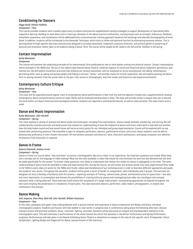# **Conditioning for Dancers**

## *Peggy Gould, Eleanor Hullihan Component—Year*

This course provides students with a weekly opportunity to explore and practice supplemental training strategies to support development of specialized skills required in dancing. Building on work done once or twice per semester in the dance practice conferences, training issues such as strength, endurance, flexibility, kinesthetic awareness, and coordination will be addressed from a neuromuscular training approach based on the teachings and selected choreographies of Irene Dowd. In addition, students will be introduced to the Alexander Technique, which aims to refine and optimize function by eliminating excessive tension. This is accomplished through specific exercises and practices designed to increase awareness, implement conscious direction, and achieve gentle re-patterning of postural and movement habits. *Open to all students taking a Dance Third. The course will be taught by Ms. Gould in the fall and Ms. Hullihan in the spring.*

# **Contact Improvisation**

## *Kathy Westwater*

#### *Component*

This course will examine the underlying principles of an improvisatory form predicated on two or more bodies coming into physical contact. Contact Improvisation, which emerged in the 1960s and '70s out of the Judson Experimental Dance Theatre, combines aspects of social and theatrical dance, bodywork, gymnastics, and martial arts. We will explore movement practices that enhance our sensory awareness, with an emphasis on action and physical risk-taking. Contemporary partnering skills, such as taking and giving weight and finding a common "center," will provide a basis for further exploration. We will explore locating the dance form in varying contexts: from the round-robin to the jam, from scores to choreography, and from studio and theatre to site-based environments.

# **Contemporary Culture Critique**

## *Kathy Westwater*

## *Component—Year*

This class will be organized around regular visits to contemporary dance performances in New York City and the adjacent tristate area, supplemented by viewing contemporary dance and performance works on video. Works will be analyzed and discussed in class. The class will include written critiques that aim to discuss the work within art/dance historical and sociological contexts. Students are required to attend performances, as well as class sessions. *This class meets once a week.*

# **Dance and Music Improvisation**

## *Kathy Westwater, John Yannelli*

## *Component—Spring*

This class explores a variety of musical and dance styles and techniques, including free improvisation, chance-based methods, conducting, and scoring. We will collaboratively innovate practices and build scores that extend our understanding of how the mediums of dance and music relate both to and with one another. How the body makes sound and how sound moves will serve as entry points for our individual and group experimentation. Scores will be explored with an eye toward their performing potential. The ensemble is open to composer-performers, dancers, performance artists, and actors. Music students must be able to demonstrate proficiency in their chosen instrument. All instruments (acoustic and electric), voice, electronic synthesizers, and laptop computers are welcome. *Permission of the instructors is required.*

# **Dance in Frame**

#### *Rosane Chamecki, Andrea Lerner*

#### *Component—Spring*

Dance in Frame is a course about "why and when" to convey a choreographic idea into a video. In our experience, the important questions are simple: When does one's concept ask for the language of video making? What are the tools available in video that would not only facilitate the work but also demand that the work be made specifically for the screen? To answer these questions, one needs to understand that neither the media nor dance is subjugated to the other. The same understanding of dance must be extended to video and experimental film. During the course, we will screen and analyze works from early experimental films made in the 1920s to early video art works for the 1960s and, finally, videos and installations of our contemporaries in order to illustrate different approaches and guide the students' own works. Throughout the semester, students will be given a series of hands-on assignments, both individually and in groups. The exercises are designed not only to develop a familiarity with the camera—exploring concepts of framing, camera move, planes, and deconstruction of space/time—but also, and more importantly, to contemplate and witness the possibilities of creating informal pieces and investigating how video can transfigure and uniquely represent what is being observed. These exercises build toward the complexion of a larger video project, incorporating approaches introduced throughout the term and including the presentation or installation of each piece. The class welcomes dancers, performers, video makers, photographers, or anyone else interested in this process.

# **Dance Making**

#### *John Jasperse, Dean Moss, Beth Gill, John Yannelli, William Catanzaro*

#### *Component—Year*

In this class, graduates and upper-class undergraduates with a special interest and experience in dance composition will design and direct individual choreographic projects. Students and faculty will meet weekly to view works-in-progress and, in conferences taking place the following afternoon, discuss relevant artistic and practical problems. Music, costumes, lighting, and other elements will be discussed as integral and interdependent elements in the choreographic work. This will culminate in performances of the works toward the end of the semester in the Winter Performance and Spring Performance programs. Performances will take place in the Bessie Schönberg Dance Theatre or elsewhere on campus in the case of site-specific work. *Prerequisites: Dance Composition, Lighting Design and Stagecraft for Dance, and permission of the instructor.*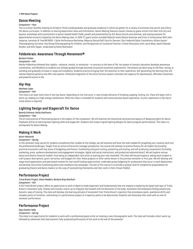# **Dance Meeting**

## *Component—Year*

This is a twice-monthly meeting of all Dance Thirds (undergraduate and graduate students) in which we gather for a variety of activities that enrich and inform the dance curriculum. In addition to sharing department news and information, Dance Meeting features master classes by guest artists from New York City and beyond, workshops with practitioners in dance-related health fields, panels and presentations by SLC dance faculty and alumnae, and casting sessions for departmental concerts created by the Dance Making class. In 2016-17, guest artists included Deborah Jowitt/Dance Historian and Critic in Conversation With John Jasperse; Jumatatu M. Poe/BIG BODY: J-Sette Performance Workshop; Rebecca Dietzel/Self-Care for Dancers; Sita Frederick/Salsa Translations; Allison Easter/ Choreographing the Voice; Ana Dimas/Choreographing for Children; and Perspectives on Curatorial Practice: A Panel Discussion with Laurie Berg, Jaamil Olawale Kosoko, and Allie Tepper, moderated by Kathy Westwater.

# **Feldenkrais: Awareness Through Movement®**

# *Barbara Forbes*

## *Component—Fall*

Moshe Feldenkrais believed that rigidity—physical, mental, or emotional—is contrary to the laws of life. His system of somatic education develops awareness, coordination, and flexibility as students are verbally guided through precisely structured movement explorations. The lessons are done lying on the floor, sitting, or standing and gradually increase in range and complexity. Students practice bringing their full attention to their experience, self-generating the learning that will release habitual patterns and offer new options. Enhanced integration of the entire nervous system cultivates the capacity for spontaneous, effortless movement and powerful action in life.

# **Hip-Hop**

# *Matthew Lopez*

## *Component—Fall*

This class is an open-level class in hip-hop dance. Depending on the instructor, it may include elements of breaking, popping, locking, etc. Class will begin with a warm up, leading to a high-energy combination. While this class is intended for students with some previous dance experience, no prior experience in hip-hop or street dance is required.

# **Lighting Design and Stagecraft for Dance**

# *Beverly Emmons, Kathy Kaufmann*

## *Component—Year*

The art and practice of illuminating dance is the subject of this component. We will examine the theoretical and practical aspects of designing lights for dance. Emphasis will be on learning basic lighting skills and stagecraft. Students will create original lighting designs for dance program performances. *This class is a prerequisite for Dance Making.*

# **Making It Work**

# *Aaron Mattocks*

## *Component—Spring*

In this semester-long course for students completing their studies at the College, we will examine and hone the tools needed for propelling your creative work into the professional landscape. Taught from an active artist/artist manager perspective, the course will attempt to achieve fluency for all makers by providing practical encounters with key areas of budgeting and finance, fundraising and grant writing, presenting and touring, and self-producing components (including marketing, press, audience development and engagement strategies, digital and social interactions, and production administration). We will explore various dance and theatre financial models, from being an independent solo artist to starting your own ensemble. The class will be participatory, asking each student to craft project descriptions, grant narratives, and budgets for their thesis projects or other works shown in the previous semester or first year. We will develop and stage mock applications and peer/panel reviews for real-world funding opportunities, undertake group budgeting for productions that occur in each department, and develop concurrent fundraising plans and crowdsourcing campaigns. The aim of this course is to provide a greater level of competitive preparedness for graduating theatre and dance makers on the cusp of representing themselves and their work in their chosen field(s).

# **Performance Project**

# *Tricia Brown Project, Diane Madden, Barbara Bray Ketchum*

## *Component—Fall*

A fall Trisha Brown project offers an opportunity to work in depth on body alignment and fundamentals that are integral to exploring the detail and rigor of Trisha Brown's movement style. Classes will include a warm-up to integrate the breadth and full dimension of the body; movement will emphasize finding easeful and dynamic ways of moving. The class will develop into learning phrases of movement from Trisha Brown's repertory that encompass quick, qualitative shifts and complex points of initiation, culminating in a performance project of a repertory piece to be determined. Students will showcase their work with an end-ofsemester performance.

# **Performance Project**

# *Raja Feather Kelly*

## *Component—Spring*

This class is an opportunity for students to work with a professional guest artist on creating a new choreographic work. The class will include a short warm-up, followed by rehearsals that lead toward a fully-produced performance of the work at the end of the semester.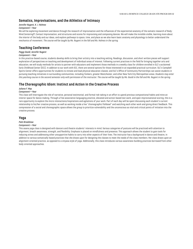# **Somatics, Improvisations, and the Athletics of Intimacy**

# *Jennifer Nugent, K. J. Holmes*

## *Component—Year*

We will be exploring movement and dance through the research of improvisation and the influences of the experiential anatomy of the somatic research of Body-Mind Centering®, Contact Improvisation, and structures and scores for improvising and composing dances. We will make the invisible visible, learning more about the interior of the body and our ideas, and explore pathways to space, time, and place as we also learn basic anatomy and physiology to better understand the mechanics of movement. *The course will be taught by Ms. Nugent in the fall and Ms. Holmes in the spring.*

# **Teaching Conference**

# *Peggy Gould, Jennifer Nugent*

## *Component—Year*

In this practice-based course, students develop skills to bring their artistry into a teaching setting. Readings, discussion, and short written pieces will support exploration of perspectives on teaching and development of individual areas of interest. Following current practices in the field for bringing together arts and education, we will study methods for artists to partner with educators and implement those methods in a weekly class for children enrolled in SLC's acclaimed Early Childhood Center (ECC). In addition to our work with ECC, there are several options for those interested in an expanded practical curriculum. SLC's Campbell Sports Center offers opportunities for students to initiate and lead physical education classes; and SLC's Office of Community Partnerships can assist students in pursuing teaching initiatives in surrounding communities, including Yonkers, greater Westchester, and other New York City Metropolitan areas. *Students may enter this yearlong course in the second semester only with permission of the instructor. The course will be taught by Ms. Gould in the fall and Ms. Nugent in the spring.*

# **The Choreographic Idiom: Instinct and Action in the Creative Process**

## *Juliana F. May*

## *Component—Year*

This class will Interrogate the role of narrative, personal testimonial, and formal risk-taking in an effort to upend previous compositional habits and mine an interior space for dance making. Through a free associative languaging practice, elevated and action-based text work, and open improvisational scoring, this is a rare opportunity to explore the micro-interactions/inspirations and agitations of your work. Part of each day will be spent discussing each student's current relationship to his/her creative process, as well as working inside a live "choreographic fishbowl" and watching each other work and giving direct feedback. This compression of a social and choreographic space allows the group to prioritize vulnerability and the unconscious as vital and critical points of initiation into the creative process.

# **Yoga**

## *Patti Bradshaw*

## *Component—Year*

This asana yoga class is designed with dancers and theatre students' interests in mind. Various categories of postures will be practiced with attention to alignment, breath awareness, strength, and flexibility. Emphasis is placed on mindfulness and presence. This approach allows the student to gain tools for reducing stress and addressing other unsupportive habits to carry into other aspects of their lives. The instructor has a background in dance and theatre, in addition to various somatically-based practices that she draws upon for designing the classes to meet the needs of the class members. Her class draws upon an alignment-oriented practice, as opposed to a vinyasa style of yoga. Additionally, this class introduces various awareness-building practices borrowed from other body-oriented approaches.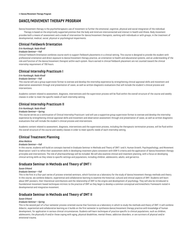# <span id="page-13-0"></span>**DANCE/MOVEMENT THERAPY PROGRAM**

Dance/movement therapy is the psychotherapeutic use of movement to further the emotional, cognitive, physical and social integration of the individual. Therapy is based on the empirically supported premise that the body and mind are interconnected and interact in health and illness. Body movement provides both a means of assessment and a mode of intervention for dance/movement therapists, working with individuals or with groups, in the treatment of developmental, medical, social, physical or psychological impairments.

# **Clinical Fieldwork Orientation**

# *Erin Humbaugh, Nada Khodl*

# *Graduate Seminar—Fall*

Clinical Fieldwork Orientation combines course work to support fieldwork placements in a clinical setting. This course is designed to provide the student with professional orientation and direct exposure to dance/movement therapy practice, an orientation to health and educational systems, and an understanding of the role and function of the dance/movement therapist within each system. Hours earned in clinical fieldwork placement are not counted toward the clinical internship requirement of 700 hours.

# **Clinical Internship Practicum I**

## *Erin Humbaugh, Nada Khodl*

## *Graduate Seminar—Fall*

This course will use a group supervision format to oversee and develop the internship experience by strengthening clinical appraisal skills and movement and observation assessment through oral presentation of cases, as well as written diagnostic evaluations that will include the student's clinical process and interventions.

Academic content related to assessment, diagnosis, interventions and the supervision process will be fluid within the overall structure of the course and weekly classes in order to meet the specific needs of each internship setting.

# **Clinical Internship Practicum II**

## *Erin Humbaugh, Nada Khodl*

## *Graduate Seminar—Spring*

This course serves as a continuation of Clinical Internship Practicum I and will use a supportive group supervision format to oversee and develop the internship experience by strengthening clinical appraisal skills and movement and observation assessment through oral presentation of cases, as well as written diagnostic evaluations that will include the student's clinical process and interventions.

Academic content related to assessment, diagnosis, interventions and the supervision process, including the therapeutic termination process, will be fluid within the overall structure of the course and weekly classes in order to meet specific needs of each internship setting.

# **Clinical Treatment Planning**

## *Alma Watkins*

## *Graduate Seminar—Fall*

In this course, students will build on concepts learned in Graduate Seminar in Methods and Theory of DMT I and II, Human Growth, Psychopathology, and Movement Observation I and II to refine their assessment skills in developing treatment plans consistent with DSM-5 criteria and the application of dance/movement therapy principles and interventions. The role of pharmacotherapy will be included. We will also examine clinical and treatment planning, with a focus on developing clinical writing skills as they relate to specific settings and populations, including children, adolescents, adults, and geriatrics.

# **Graduate Seminar in Methods and Theory of DMT I**

## *Susan Orkand*

## *Graduate Seminar—Fall*

This is the first in a four-part series of process-oriented seminars, which function as a laboratory for the study of dance/movement therapy methods and theory. In this course, we combine didactic, experiential and collaborative learning to examine the historical, cultural and clinical aspects of DMT. Students will learn about DMT pioneers, their theoretical contributions and the relationship of DMT to the origins and development of psychology. They will also be introduced to foundational movement-based techniques intrinsic to the practice of DMT as they begin to develop a common conceptual and kinesthetic framework rooted in developmental and integrative movement.

# **Graduate Seminar in Methods and Theory of DMT II**

## *Susan Orkand*

# *Graduate Seminar—Spring*

This is the second part of a four-semester process-oriented course that functions as a laboratory in which to study the methods and theory of DMT. It will combine didactic, experiential and collaborative learning as it builds on the first semester to synthesize dance/movement therapy practice with knowledge of human development, for application in various clinical circumstances. Students will learn techniques of practice specific to clinical populations, such as children, adolescents, the physically ill and/or those coping with aging, physical disabilities, mental illness, addiction disorders, or are survivors of physical and/or emotional trauma.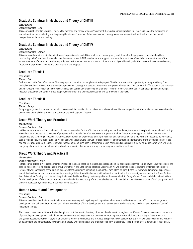# **Graduate Seminar in Methods and Theory of DMT III**

# *Susan Orkand*

#### *Graduate Seminar—Fall*

This course is the third in a series of four on the methods and theory of dance/movement therapy for clinical practice. Our focus will be on the experience of embodiment and on broadening and deepening the students' practice of dance/movement therapy as we examine cultural, spiritual, and socioeconomic perspectives on dance and healing.

# **Graduate Seminar in Methods and Theory of DMT IV**

## *Susan Orkand*

#### *Graduate Seminar—Spring*

This course will examine clinical applications of expressive arts modalities, such as art, music, poetry, and drama for the purpose of understanding their relationship to DMT and how they can be used in conjunction with DMT to enhance and support treatment interventions. We will also examine the use of the artistic elements of dance such as choreography and performance to support a variety of mental and physical health goals. The course will have several visiting faculty with expertise in the arts and the creative arts therapies.

# **Graduate Thesis I**

## *Elise Risher*

#### *Thesis—Fall*

Each student in the Dance/Movement Therapy program is required to complete a thesis project. The thesis provides the opportunity to integrate theory from multiple disciplines, existing literature in dance/movement therapy and personal experience using research methods. This course will offer students the structure to apply what they have learned in the Research Methods course toward developing their own research project, with the goal of completing and submitting a research prospectus and outline. Group support, consultation and technical assistance will be provided in the class.

# **Graduate Thesis II**

## *Elise Risher*

## *Thesis—Spring*

Group support, consultation and technical assistance will be provided for this class for students who will be working with their thesis advisors and second readers to complete the final thesis project and continue the work begun in Thesis I.

# **Group Work Theory and Practice I**

## *Alma Watkins*

## *Graduate Seminar—Fall*

In this course, students will learn clinical skills and roles needed for the effective practice of group work as dance/movement therapists in varied clinical settings. We will examine theoretical constructs of group work that include Yalom's Interpersonal approach, Shulman's Interactional approach, Falck's Membership Perspective and Steinberg's model of Mutual-Aid. Students will be expected to identify the central ideas and methods of group work and recognize its emotional, cognitive and behavioral applications as well as behavior that disrupts the work of group process, demonstrate an understanding of the effects of transference and countertransference, discuss group work theory and techniques used to facilitate problem-solving and specific skill building to reduce psychiatric symptoms, and group characteristics including multiculturalism, diversity, dynamics, and stages of development and interventions.

# **Group Work Theory and Practice II**

#### *Alma Watkins*

## *Graduate Seminar—Spring*

In this course, students will expand their knowledge of the basic theories, methods, concepts and clinical applications learned in Group Work I. We will explore the core elements of systems approaches to group work theory and DMT clinical practice. Specifically, we will examine the contributions of Monica McGoldrick's influential work concerning ethno-cultural aspects affecting families, including the impact of race, class, religion, historical factors and migration experiences; and attitudes about sexual orientation and intermarriage. Other theoretical models will include the relational-cultural paradigm developed at the Stone Center's Jean Baker Miller Training Institute and the principles of Resilience Theory that emerged from the research of Dr. Emmy Werner. These models have implications for the development of therapeutic interventions and will inform our study of the clinical roles and skills needed for the effective practice of DMT group work with children, adolescents, and families in various clinical settings.

# **Human Growth and Development**

#### *Elise Risher*

## *Graduate Seminar—Fall*

This course will outline the interrelationships between physiological, psychological, cognitive and socio-cultural factors and their effects on human growth, development and behavior. Students will gain a basic knowledge of brain development and neuroscience, as they relate to the theory and practice of dance/ movement therapy.

The course covers selected theoretical and empirical contributions to the study of human development throughout the lifespan. The course considers the nature of psychological development in childhood and adolescence and pays attention to developmental implications for adulthood and old age. There is a careful analysis of developmental theories, with an emphasis on research findings and methods as reported in the current literature. We will also be examining writings on attachment and contemporary psychodynamic theory, which emphasize the importance of early experience. These theories offer a particular focus on early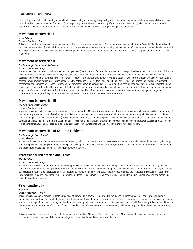#### 15 **Dance/Movement Therapy Program**

relationships and their role in shaping an individual's ways of being and knowing, of regulating affect, and of developing and maintaining crucial ties to others throughout life. They also provide a framework for incorporating recent advances in the study of the brain. The overarching goal of the course is to provide students with a general understanding of the current state of knowledge in various areas of psychological development.

# **Movement Observation I**

# *Susan Orkand*

## *Graduate Seminar—Fall*

This class is the first in a series of three on movement observation and assessment skills. The course provides an introduction to Bartenieff Fundamentals and Laban Movement Analysis (LMA) and their application in Dance/Movement Therapy. The relationship between Bartenieff Fundamentals, human development, and Effort-Space-Shape will be discussed and explored through movement. Coursework in anatomy and kinesiology will be used to support understanding of these frameworks.

# **Movement Observation II**

## *Erin Humbaugh, Sandra Muniz-Lieberman*

#### *Graduate Seminar—Spring*

This course is an introduction to Laban Movement Analysis (LMA) with a primary focus on dance/movement therapy. The class is the second in a series of three on movement observation and assessment skills, and is designed to familiarize the student with the Laban concepts and principles for the observation and description of movement, integrating other relevant perspectives for understanding human movement. Students will learn to embody and observe foundational components of physical action by exploring concepts in the categories of Body, Effort, Space and Shape. LMA provides insight into one's personal movement preferences and increases awareness of what and how movement communicates and expresses. In addition, through readings, movement experimentation and discussion, students will explore the principles of the Bartenieff Fundamentals, which involve concepts such as movement initiation and sequencing, connectivity, weight transference, spatial intent, effort intent and breath support. These fundamental ideas, when present in movement, develop dynamic alignment, coordination, strength, flexibility, mobility, kinesthetic awareness, expression, and help facilitate relationship.

# **Movement Observation III**

## *Erin Humbaugh, Susan Orkand*

## *Graduate Seminar—Fall*

Movement Observation III serves as a continuation of the course work in Movement Observation I and II. Movement Observation III introduces the fundamentals of the Kestenberg Movement Profile (KMP), a theoretically based assessment tool that examines psychological development through body movement. Students' understanding of Laban Movement Analysis (LMA) and its application in the therapeutic process is deepened with the addition of KMP as part of the movement development, relationship, learning, and psychological process. Additionally, ways of organizing observations and developing targeted assessments utilizing KMP will be considered. Students will also learn about current theories in neuroscience and their relation to movement observation.

# **Movement Observation of Children Fieldwork**

## *Erin Humbaugh, Susan Orkand*

#### *Fieldwork—Fall*

Students will have the opportunity for observation, research, and practicum experience. First-semester placements are at the Early Childhood Center, the campus laboratory preschool, allowing students to study typically developing children from ages 2 through 6, or at other sites with young children. These fieldwork hours are not counted toward the clinical internship requirement of 700 hours.

# **Professional Orientation and Ethics**

#### *Alma Watkins*

#### *Graduate Seminar—Spring*

Students will learn the fundamental tenets underlying professional ethics and ethical decision-making in the practice of dance/movement therapy. We will identify and explore ethical concepts, standards, and guidelines that will inform your clinical judgment, and become aware and mindful of the ways your personal ethics relate to your role as a professional DMT. In addition to course readings, we will study the ADTA Code of Ethics and Standards of Ethical Practice, and the New York State Education Department requirements for standards of licensure in Creative Arts Therapy, including training in the identification and reporting of child abuse and maltreatment.

# **Psychopathology**

#### *Elise Risher*

#### *Graduate Seminar—Spring*

This course is designed to provide students with a base of knowledge in psychopathology and to familiarize students with current conceptions and empirical findings in psychopathology research. Beginning with the question of how abnormality is defined, we will explore contemporary perspectives on psychopathology and focus more specifically on psychological disorders, their development and treatment, and controversies within the field. Additionally, this course will focus on the physiologic and motoric manifestations of illness, the role of dance/movement therapy in treatment, and challenges particular to dance/movement therapy intervention.

This course will use the current version of the Diagnostic and Statistical Manual of Mental Disorders, the DSM-5. Reading of the current manual will include discussion of recent changes and the impact on diagnostic understanding and treatment formulation.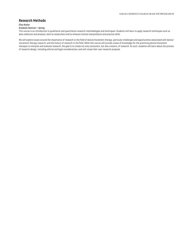# **Research Methods**

## *Elise Risher*

## *Graduate Seminar—Spring*

This course is an introduction to qualitative and quantitative research methodologies and techniques. Students will learn to apply research techniques such as data collection and analysis, both as researchers and to enhance clinical interpretation and practice skills.

We will explore issues around the importance of research to the field of dance/movement therapy, particular challenges and opportunities associated with dance/ movement therapy research, and the history of research in the field. While this course will provide a base of knowledge for the practicing dance/movement therapist to interpret and evaluate research, the goal is to create not only consumers, but also creators, of research. As such, students will learn about the process of research design, including ethical and legal considerations, and will create their own research proposal.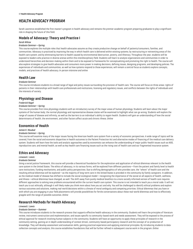# <span id="page-17-0"></span>**HEALTH ADVOCACY PROGRAM**

Sarah Lawrence established the first master's program in health advocacy and remains the premier academic program preparing graduates to play a significant role in shaping the future of this field.

# **Models of Advocacy: Theory and Practice I**

#### *Sarah Wilcox*

## *Graduate Seminar—Spring*

This course explores the multiple roles that health advocates assume as they create productive change on behalf of patients/consumers, families, and communities. Advocacy is practiced by improving the way in which health care is delivered within existing systems; by restructuring or reinventing areas of the health care system; and by eliminating barriers to health caused by environmental destruction, poverty, and illiteracy. Throughout the year, students will be exposed to leaders who practice in diverse arenas within this interdisciplinary field. Students will learn to analyze organizations and communities in order to understand hierarchies and decision-making within them and to be exposed to frameworks for conceptualizing and promoting the right to health. The course will also explore strategies to give health advocates and consumers more power in making decisions, defining issues, designing programs, and developing policies. The experiences of individuals and communities, as well as how systems respond to those experiences, will remain a central focus as students explore concepts, models, and practices of health advocacy. *In-person intensive and online*

# **Health Law**

## *Graduate Seminar*

This course introduces students to a broad range of legal and policy issues surrounding the provision of health care. The course will focus on three areas: rights of patients in their relationships with health care professionals and institutions, licensing and regulatory issues, and conflicts between the rights of individuals and the interests of society.

# **Physiology and Disease**

## *Frederick Nagel*

#### *Graduate Seminar—Spring*

This course provides first-time physiology students with an introductory survey of the major areas of human physiology. Students will learn about the major systems of the human body; the normal physiology and representative disease states will be examined to highlight what can go wrong. Students will explore the range of causes of disease and infirmity, as well as the barriers to an individual's ability to regain health. Students will gain an understanding of how the social determinants of health, the environment, and other factors affect acute and chronic illness. *Online*

# **Economics of Health**

## *Jamee K. Moudud*

# *Graduate Seminar—Spring*

This course will examine many of the major issues facing the American health care system from a variety of economic perspectives. A wide range of topics will be covered, from the racial and economic disparities in health outcomes to the Patient Protection Act and alternative modes of financing of the medical care delivery system. Students will learn how the tools and analytic approaches used by economists can enhance the understanding of major public-health issues such as AIDS, reproductive care, and mental health, as well as key health care financing issues such as the rising cost of health care and our fragmented insurance system.

# **Ethics and Advocacy**

# *Linwood J. Lewis*

## *Graduate Seminar*

Using a social justice framework, this course will provide a theoretical foundation for the exploration and application of ethical dilemmas relevant to the health care system in the United States. The ethics of advocacy, in its various forms, will be explored from different positions—from the patient and family level to health care institutions, funding mechanisms, and public policy perspectives. Due to shifting demographics of who provides care, the "where" of health care and the resulting ethical dilemmas will be explored—as the majority of long-term care in the United States is provided in the community by family caregivers. In addition, as the medical model of disease has shifted to include the social-ecological model—recognizing the importance of the social on all aspects of health, wellness, and illness—ethical dilemmas have changed, as well. The shift away from purely medical bioethics to a more socially informed version of health care requires different approaches to solving new problems encountered within the current health care system. This course is not intended to teach you a moral code. It will not teach you to act ethically, although it will likely make you think more about how you act and why. You will be challenged to identify ethical problems and explore various outcomes and solutions, making real-world decisions within a climate of moral ambiguity and competing priorities. Ethical dilemmas that you have or with which you are engaging in your field placements will provide possibilities for fertile conversations about these real-world dilemmas and how to effectively grapple with the range of possible outcomes. *Online*

# **Research Methods for Health Advocacy**

## *Linwood J. Lewis*

## *Graduate Seminar—Summer*

This course introduces students to the research process that supports effective health advocacy in the community. Students will learn the principles of literature review, instrument construction and implementation, and issues specific to community-based work and needs assessment. They will be exposed to the process of ethical approval for research involving human subjects in the community. Students will have an opportunity to apply these principles of research in the community setting, gaining an in-depth understanding of context-driven, community-based participatory research and the concept of co-production of knowledge. They will develop assessment and evaluation skills, gaining practical experience and applying statistical principles. By introducing students to datacollection concepts and analysis, this course establishes foundations that will be further refined in subsequent course work in the program. *Online*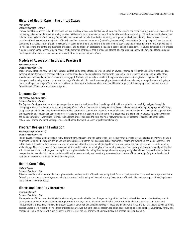# **History of Health Care in the United States**

# *Jean Kahler*

# *Graduate Seminar—Spring*

From colonial times, access to health care has been less a history of access and inclusion and more one of exclusion and organizing to guarantee its access to the increasingly diverse population of a growing country. In this conference-based course, we will explore the varied understandings of health and medical care from colonial times to the late 20th century. Topics to be considered will include the role that ethnicity, race, gender, and religious identity played in access to and provision of health services; the migration of health care from home and community (midwifery, homeopathy) to institutions (nursing, hospitals) and the social conditions that fueled that migration; the struggle for ascendancy among the different fields of medical education; and the creation of the field of public health, its role in defining and controlling outbreaks of disease, and its impact on addressing inequities in access to health care services. Course participants will prepare a major research paper, investigating an aspect of the history of health care that is of special interest. The conference paper will be developed through regular meetings with the instructor and in conjunction with other course participants. *Online*

# **Models of Advocacy: Theory and Practice II**

## *Rebecca O. Johnson*

## *Graduate Seminar—Fall*

This course will focus on how health advocates can effect policy change through development of an advocacy campaign. Students will define a health policy or system problem, formulate a proposed solution, identify needed data and narratives to demonstrate the need for your proposed solution, and map the other stakeholders (allies and opponents) who must be engaged. Students will learn how to select the appropriate advocacy strategies to bring about the desired changes in health policy and/or systems and the range of tools and skills that they can employ to pursue their chosen advocacy strategy. Students will gain an understanding of the range of factors to be considered in choosing the decision makers who should be the target(s) of the campaign, such as local, state, or federal health officials or executives of hospitals.

# **Capstone Seminar**

## *Kim Ferguson (Kim Johnson)*

# *Graduate Seminar—Spring*

The Capstone Seminar provides a strategic perspective on how the health care field is evolving and the skills required to successfully navigate the rapidly changing profession in a system that is undergoing significant reform. The seminar is designed to facilitate students' work on the Capstone projects, affording a group setting in which to explore ideas and refine project parameters, connect the project to broader advocacy concepts and career development opportunities, and receive regular feedback on Capstone progress. Students integrate academic learning with field experience and examine how theoretical advocacy themes are made operational in workplace settings. The Capstone project builds on the third and final fieldwork placement. Capstone is designed to enhance the coherence of students' educational experiences and further develop their sense of professional identity.

# **Program Design and Evaluation**

## *Kim Ferguson (Kim Johnson)*

## *Graduate Seminar—Fall*

Health advocacy issues are addressed in many different ways, typically involving some type of direct intervention. This course will provide an overview of, and a critical reflection on, the program design and evaluation process. Students will discuss and study elements of design and evaluation, the major theoretical and political orientations to evaluation research, and the practical, ethical, and methodological problems involved in applying research methods to understanding social change. Thus, this course will also serve as an introduction to the methodologies of community-based and participatory action research and practice. We will discuss how to approach program conception and implementation, including developing and measuring program goals and objectives, with a social-justice perspective. At the end of this course, students will be able to conceptually and practically understand the contours of how to thoughtfully plan, develop, and evaluate an intervention aimed at a health advocacy issue.

# **Health Care Policy**

## *Barbara Caress*

# *Graduate Seminar—Fall*

This course will examine the formulation, implementation, and evaluation of health care policy. It will focus on the interaction of the health care system with the federal, state, and local political systems. Individual pieces of health policy will be used to study the evolution of health policy and the impact of health policy on health care in the United States.

# **Illness and Disability Narratives**

#### *Samantha Barrick*

## *Graduate Seminar—Fall*

The experience of illness and disability is both intimately personal and reflective of larger social, political, and cultural realities. In order to effectively work in direct patient care or in broader scholarly or organizational arenas, a health advocate must be able to interpret and understand personal, communal, and institutional narratives. This course will introduce students to written and visual narratives of illness and disability, narrative and cultural theory, as well as media studies. Students will write their own illness or disability narratives during the course session, exploring issues such as selfhood, perspective, memory, family, and caregiving. Finally, students will elicit, transcribe, and interpret the oral narrative of an individual with a chronic illness or disability.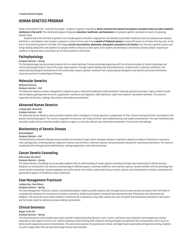# <span id="page-19-0"></span>**HUMAN GENETICS PROGRAM**

Home of the nation's first—and still the largest—program in genetic counseling, **Sarah Lawrence has trained more genetic counselors than any other academic institution in the world**. This celebrated program integrates **education, healthcare, and humanism** as it prepares genetic counselors to work in a growing, dynamic field.

Students learn that the field of genetics now includes genetic disorders ranging from rare diseases to prevalent conditions such as cardiovascular disease, Alzheimer's, and diabetes. Each student is placed at a total of seven sites from **a wealth of fieldwork options** at nearly 50 centers in the New York City area. At the hub of international growth in the field, the College **recruits top scientists, physicians, and genetic counselors to its faculty** from the area's genetic centers and brings leading researchers and speakers to campus weekly to discuss current topics. Each student also develops a community outreach project, targeting an audience to educate about a particular set of relevant genetic information.

# **Pathophysiology**

## *Graduate Seminar—Spring*

The Pathophysiology course provides students with an understanding of human physiology beginning with the cell and principles of cellular physiology and continuing through study of most of the major organ systems. Through course readings and oral presentations, students learn to identify, synthesize, and understand physiological mechanisms of the human body; explain a genetic condition from a physiological standpoint; and identify and access information resources pertinent to physiological diseases.

# **Molecular Genetics**

## *Nathaniel Pearson*

## *Graduate Seminar—Fall*

The Molecular Genetics course is designed for students to gain a solid and foundational understanding of molecular genetics principles. Topics covered include central dogma; gene/genome structure, organization, expression and regulation; DNA replication, repair and mutation; and protein synthesis. The course is organized into lectures, readings, discussions, and student presentations.

# **Advanced Human Genetics**

## *Lindsey Alico, Anne Greb*

# *Graduate Seminar—Fall*

The Advanced Human Genetics course provides students with a foundation in human genetics in preparation for their clinical training and other coursework in the genetic counseling program. The course is organized into lectures, self-study activities, team-based learning, and student presentations. The team-based learning and other student-driven activities enable students to apply in a clinically relevant way information presented in the lectures and readings.

# **Biochemistry of Genetic Disease**

## *Katie Gallagher*

## *Graduate Seminar—Fall*

The Biochemistry of Genetic Disease course provides an overview of major inborn metabolic diseases. Emphasis is placed on modes of inheritance, recurrence risks, pathogenesis, screening options, diagnostic testing, natural history, treatment options, and psychosocial and genetic counseling implications. The course is conducted online through prerecorded lectures, reading assignments, and online discussion.

# **Cancer Genetic Counseling**

# *Kelli Conlan, Elsa Reich*

# *Graduate Seminar—Spring*

The Cancer Genetic Counseling course provides students with an understanding of cancer genetic counseling through case-based study of clinical services. Students are introduced to the anatomy and physiology of affected organs, screening modalities, and treatment options; become familiar with the pathology and cancer genetic counseling; interpret pedigrees and utilize cancer risk models; understand testing criterion, options, and interpretation of results; and explore the psychosocial aspects of hereditary cancer syndromes.

# **Case Management Practicum**

## *Lindsey Alico, Sara Gilvary*

## *Graduate Seminar—Spring*

The Case Management Practicum utilizes a standardized patient model to provide students with the opportunity to demonstrate and assess their skill levels in competencies necessary for the practice of genetic counseling. Students participate in prepared role-playing exercises, followed by class discussion and feedback. The course structure allows students to demonstrate competence in key skills; assess their own strengths and weaknesses and those of their peers; and formulate a plan for addressing areas needing improvement.

# **Clinical Genomics**

# *Megan Truitt Cho*

## *Graduate Seminar—Spring*

The Clinical Genomics course builds upon topics covered in Advanced Human Genetics. Early, current, and future uses of genomic technologies are covered, especially as they apply to clinical care. Students develop critical thinking skills related to testing strategies and genomic data interpretation, with a focus on whole exome sequencing variant interpretation. The course also explores the psychosocial, ethical, and legal factors associated with genomic testing. Students are able to apply what they are learning through various case examples.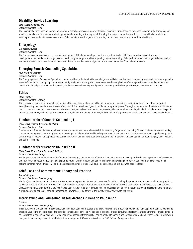# **Disability Service Learning**

# *Sara Gilvary, Radhika Sawh*

## *Graduate Seminar—Fall*

The Disability Service Learning course and practicum broadly covers contemporary topics of disability, with a focus on the genetics community. Through guest speakers, panels, and internships, students gain an understanding of the impact of disability; improved communication skills with individuals, families, and service providers; and an increased awareness of the contributions that genetic counseling can make to persons with or without disabilities.

# **Embryology**

# *Eva Botstein Griepp*

## *Graduate Seminar—Fall*

The Embryology course considers the normal development of the human embryo from the earliest stages to birth. The course focuses on the stages, developmental mechanisms, and organ systems with the greatest potential for improving the understanding of the pathophysiology of congenital abnormalities and malformation syndromes. Students learn from discussion and written analysis of clinical cases as well as from didactic material.

# **Emerging Genetic Counseling Specialties**

# *Julia Wynn, Jill Goldman*

## *Graduate Seminar—Fall*

The Emerging Genetic Counseling Specialties course provides students with the knowledge and skills to provide genetic counseling services in emerging specialty areas before clinical training opportunities are readily available. Currently, the course examines the complexities of neurogenetic diseases and cardiovascular genetics in clinical practice. For each specialty, students develop knowledge and genetic counseling skills through lectures, case studies and role play.

# **Ethics**

# *Laura Hercher*

## *Graduate Seminar—Spring*

The Ethics course covers the principles of medical ethics and their application in the field of genetic counseling. The significance of current and historical examples of eugenics and how past abuses affect the clinical practices of genetic medicine today are explored. Through a combination of lecture and discussion, the class reviews hot-button issues such as abortion, "designer babies," and genetic engineering. The course also covers legal and ethical dilemmas with specific relevance to genetics, including genetic discrimination, the genetic testing of minors, and the extent of a genetic clinician's responsibility to biological relatives.

# **Fundamentals of Genetic Counseling I**

## *Claire Davis, Lindsey Alico, Janelle Villiers*

## *Graduate Seminar—Fall*

Fundamentals of Genetic Counseling aims to introduce students to the fundamental skills necessary for genetic counseling. The course is structured around key components of a genetic counseling encounter. Readings provide foundational knowledge of relevant concepts, and class discussions encourage the comparison of different perspectives and applications. Course instructors demonstrate each skill; students then engage in skill development through role play, peer feedback, and self-assessment.

# **Fundamentals of Genetic Counseling II**

## *Claire Davis, Megan Truitt Cho, Janelle Villiers*

## *Graduate Seminar—Spring*

Building on the skillset of Fundamentals of Genetic Counseling I, Fundamentals of Genetic Counseling II aims to develop skills relevant to psychosocial assessment and interventions. Focus is first placed on exploring patient characteristics and concerns and then on utilizing appropriate counseling skills to respond in a patient-centered way. Course activities include discussion, small-group activities, demonstration, and role play with peer feedback.

# **Grief, Loss and Bereavement: Theory and Practice**

## *Amanda Bergner*

## *Graduate Seminar—Fall and Spring*

The Grief, Loss and Bereavement: Theory and Practice course provides theoretical constructs for understanding the personal and intrapersonal meanings of loss, as well as practical short-term interventions that facilitate healthy grief reactions for bereaved families. The course structure includes lectures, case studies, discussion, role play, experiential exercises, videos, papers, and student projects. Special emphasis is placed upon the student's own professional development as a grief/adaptation counselor through increased self-awareness. *This course is offered in both Fall and Spring semesters.*

# **Interviewing and Counseling-Based Methods in Genetic Counseling**

## *Erin Ash*

# *Graduate Seminar—Fall and Spring*

This Interviewing and Counseling Based Methods in Genetic Counseling course provides exploration and practice of counseling skills applied to genetic counseling practice. Counseling skills are applied to genetic counseling scenarios as well as to professional interactions. Students learn to utilize different counseling models as they relate to genetic counseling practice, identify counseling strategies that can be applied to specific patient scenarios, and apply motivational interviewing in a genetic counseling session to facilitate patient management. *This course is offered in both Fall and Spring semesters.*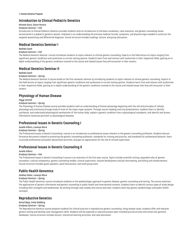#### 21 **Human Genetics Program**

# **Introduction to Clinical Pediatric Genetics**

# *Michele Disco, Elaine Pereira*

## *Graduate Seminar—Fall*

Introduction to Clinical Pediatric Genetics provides students with an introduction to the basic vocabulary, case scenarios, and genetic counseling issues encountered in a pediatric genetics session. Emphasis is on understanding the previous medical records, symptoms, and physical signs needed to construct the targeted questioning and differential diagnosis. Course structure includes readings, lecture, and group discussion.

# **Medical Genetics Seminar I**

## *Radhika Sawh*

## *Graduate Seminar—Fall*

The Medical Genetics Seminar I course introduces students to topics relevant to clinical genetic counseling. Experts in the field lecture on topics ranging from significant genetic conditions and syndromes to current testing options. Students learn from and interact with authorities in their respective fields, gaining an indepth understanding of the genetic conditions covered in the course and related issues they will encounter in their careers.

# **Medical Genetics Seminar II**

## *Radhika Sawh*

# *Graduate Seminar—Spring*

The Medical Genetics Seminar II course builds on the first-semester seminar by introducing students to topics relevant to clinical genetic counseling. Experts in the field lecture on topics ranging from significant genetic conditions and syndromes to current testing options. Students learn from and interact with authorities in their respective fields, gaining an in-depth understanding of the genetic conditions covered in the course and related issues that they will encounter in their careers.

# **Physiology of Human Disease**

## *Peggy Cottrell*

## *Graduate Seminar—Spring*

The Physiology of Human Disease course provides students with an understanding of human physiology beginning with the cell and principles of cellular physiology and continuing through study of most of the major organ systems. Through course readings and oral presentations, students learn to identify, synthesize, and understand physiological mechanisms of the human body; explain a genetic condition from a physiological standpoint; and identify and access information resources pertinent to physiological diseases.

# **Professional Issues in Genetic Counseling I**

# *Janelle Villiers, Lavanya Misra*

## *Graduate Seminar—Spring*

The Professional Issues in Genetic Counseling I course is an introduction to professional issues relevant to the genetic counseling profession. Students discuss formative documents related to promoting the genetic counseling profession, standards for training and practice, and standards for professional behavior; learn to provide professional and public educational activities; and gain an appreciation for the role of clinical supervision.

# **Professional Issues in Genetic Counseling II**

## *Janelle Villiers*

# *Graduate Seminar—Fall*

The Professional Issues in Genetic Counseling II course is an extension of the first-year course. Topics include scientific writing, expanded roles of genetic counselors, cultural competency, genetic counseling models, clinical supervision, resume development and job interviewing, and billing and reimbursement. Course structure includes guest speakers, panel discussions, and small group work.

# **Public Health Genomics**

# *Siobhan Dolan, Lavanya Misra*

# *Graduate Seminar—Spring*

The Public Health Genomics course introduces students to the epidemiologic approach to genetic disease, genetic counseling and testing. The course examines the applications of genetic information and genetic counseling in public health and international contexts. Students learn to identify various types of study design including their strengths and weaknesses. By working through case studies and course exercises, students learn key genetic epidemiologic and public health concepts.

# **Reproductive Genetics**

# *Komal Bajaj, Emily Goldberg*

# *Graduate Seminar—Spring*

The Reproductive Genetics course prepares students for clinical practice in reproductive genetic counseling. Using sample cases, students offer and interpret genetic testing and develop case management skills. Students will be expected to read and present peer reviewed journal articles and utilize core genetics databases. Course structure includes lecture, interactive learning activities, and case discussion.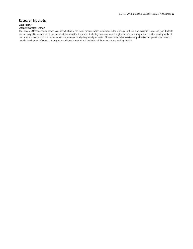# **Research Methods**

## *Laura Hercher*

# *Graduate Seminar—Spring*

The Research Methods course serves as an introduction to the thesis process, which culminates in the writing of a thesis manuscript in the second year. Students are encouraged to become better consumers of the scientific literature—including the use of search engines, a reference program, and critical reading skills—in the construction of a literature review as a first step toward study design and publication. The course includes a review of qualitative and quantitative research models, development of surveys, focus groups and questionnaires, and the basics of data analysis and working in SPSS.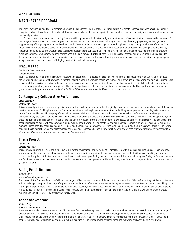# <span id="page-23-0"></span>**MFA THEATRE PROGRAM**

The Sarah Lawrence College Theatre program embraces the collaborative nature of theatre. Our objective is to create theatre artists who are skilled in many disciplines: actors who write; directors who act; theatre makers who create their own projects; and sound, set, and lighting designers who are well-versed in new media and puppetry.

Students have the advantage of choosing from a multidisciplinary curriculum taught by working theatre professionals that also draws on the resources of the College's Theatre, Music, and Dance programs. At the heart of this curriculum are focused programs in acting, directing, playwriting, and design, with supplementary offerings in production and technical work. Theatre students are encouraged to cross disciplines as they investigate all areas of theatre. The faculty is committed to active theatre training—students learn by doing—and have put together a vocabulary that stresses relationships among classical, modern, and original texts. The program uses a variety of approaches to build technique, while nurturing individual artistic directions. The Theatre program examines not just contemporary American performance but also diverse cultural and historical influences that precede our own. Courses include Alexander Technique, acting, comedic and dramatic improvisation, creation of original work, design, directing, movement, musical theatre, playwriting, puppetry, speech, solo performance, voice, and the art of bringing theatre into the local community.

# **Graduate Lab**

## *Dan Hurlin, David Neumann*

#### *Component—Year*

Taught by a rotating series of Sarah Lawrence faculty and guest artists, this course focuses on developing the skills needed for a wide variety of techniques for the creation and development of new work in theatre. Ensemble acting, movement, design and fabrication, playwriting, devised work, and music performance are all explored. The class is a forum for workshops, master classes, and open rehearsals, with a focus on the development of critical skills. In addition, students in Grad Lab are expected to generate a new piece of theatre to be performed each month for the Sarah Lawrence community. These performances may include graduate and undergraduate students alike. *Required for all theatre graduate students. This class meets once a week.*

# **Contemporary Collaborative Performance**

## *David Neumann*

## *Component—Year*

This course will provide a critical and supportive forum for the development of new works of original performance, focusing primarily on where current dance and theatre combinations find inspiration. In the first semester, students will explore contemporary theatre-building techniques and methodologies from Dada to Judson Church and beyond. The majority of time will be devoted to lab work, where students will create their own short performance pieces through a multidisciplinary approach. Students will be asked to devise original theatre pieces that utilize methods such as solo forms, viewpoints, chance operations, and creations from nontheatrical sources. In addition to the laboratory aspect of the class, a number of plays, essays, and artists' manifestos will be discussed. In the second semester, students will collaborate on a single evening-length work, utilizing theatrical and nontheatrical sources in an attempt to speak to our cultural moment. Please note: The second semester will require additional developmental/rehearsal time outside of class. In addition to class work, there will be several opportunities to visit rehearsals and performances of professional theatre and dance in New York City. *Open only to first-year graduate students and required for all first-year Theatre graduate students. This class meets once a week.*

# **Thesis Project**

#### *Dan Hurlin*

#### *Component—Year*

This course will provide a critical and supportive forum for the development of new works of original theatre with a focus on conducting research in a variety of ways, including historical and artistic research, workshops, improvisations, experiments, and conversation. Each student will focus on creating one original project—typically, but not limited to, a solo—over the course of the full year. During the class, students will show works in progress. During conference, students and faculty will meet to discuss these showings and any relevant artistic and practical problems that may arise. *This class is required for all second-year theatre graduate students.*

# **Acting Poetic Realism**

#### *Michael Early*

#### *Intermediate, Component—Year*

The plays of Anton Chekhov, Tennessee Williams, and August Wilson serve as the point of departure in our exploration of the craft of acting. In this class, students will be challenged to expand their range of expression and build their confidence to make bold and imaginative acting choices. Particular attention will be paid to learning to analyze the text in ways that lead to defining clear, specific, and playable actions and objectives. In tandem with their work on a given text, students will be guided through a progression of physical, vocal, sensory, and imaginative exercises designed to impart tangible skills that will enable them to create multidimensional characters. *This class meets twice a week.*

# **Acting Shakespeare**

#### *Michael Early*

## *Advanced, Component—Year*

Those actors rooted in the tradition of playing Shakespeare find themselves equipped with a skill set that enables them to successfully work on a wide range of texts and within an array of performance modalities. The objectives of this class are to learn to identify, personalize, and embody the structural elements of Shakespeare's language as the primary means of bringing his characters to life. Students will study a representative arc of Shakespeare's plays, as well as the sonnets, with the goal of bringing his characters to life. Class time will be divided among physical, vocal, and text work. *This class meets twice a week.*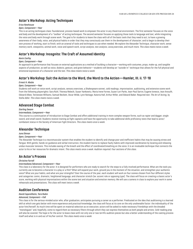# **Actor's Workshop: Acting Techniques**

# *Erica Newhouse*

# *Open, Component—Year*

This is an acting techniques class: foundational, process-based work to empower the actor in any theatrical environment. The first semester focuses on the voice and body and the development of a "toolbox" of acting techniques. The second semester focuses on applying those tools to language and text, while integrating the voice and body work through scene work. The goal is for students to leave the class with all of the basic tools that they need to act; to have a growing awareness of their body, voice, and physical habits in order that they may consciously use them in the development of character; and to begin to develop their own process of working, start to finish, with an arsenal of tools and techniques to use when needed. We explore the Alexander Technique, character work, sense memory work, viewpoints, animal work, voice and speech work, script analysis, text analysis, Lecoq exercises, and much more*. This class meets twice a week.*

# **Actor's Workshop: Incognito: The Craft of Assumed Identity**

## *Kevin Confoy*

## *Open, Component—Year*

An approach to performance that focuses on external applications as a method of building a character—working with costumes, props, make-up, and tangible aspects of production, as well as voice, dialects, gesture, and given behavior—students will develop an "outside-in" technique that allows for the full physical and emotional expression of a character and the text*. This class meets twice a week.*

# **Actor's Workshop: Suit the Action to the Word, the Word to the Action—Hamlet, III. ii. 17-18**

## *Ernest H. Abuba*

## *Open, Component—Year*

Students will work on voice work, script analysis, sensory exercises, a Shakespeare sonnet, cold readings, improvisation, auditioning, and extensive scene work from the following playwrights: Sara Ruhl, Theresa Rebeck, Susan Yankowitz, Maria Irene Fornes, Suzan-Lori Parks, Jean-Paul Sartre, Eugene Ionesco, Jean Anouilh, Edward Albee, Tennessee Williams, Samuel Beckett, Oscar Wilde, Lynn Nottage, Katoria Hall, Arthur Miller, and Edward Baker. Required text: *The Art of Acting*, by Stella Adler. *This class meets twice a week.*

# **Advanced Stage Combat**

## *Sterling Swann*

## *Intermediate, Component—Year*

This course is a continuation of Introduction to Stage Combat and offers additional training in more complex weapon forms, such as rapier and dagger, single sword, and small sword. Students receive training as fight captains and have the opportunity to take additional skills proficiency tests that lead to actor/ combatant status in the Society of American Fight Directors. *This class meets once a week.*

# **Alexander Technique**

# *June Ekman*

## *Open, Component—Year*

The Alexander Technique is a neuromuscular system that enables the student to identify and change poor and inefficient habits that may be causing stress and fatigue. With gentle, hands-on guidance and verbal instruction, the student learns to replace faulty habits with improved coordination by locating and releasing undue muscular tensions. This includes easing of the breath and the effect of coordinated breathing on the voice. It is an invaluable technique that connects the actor to his or her resources for dramatic intent. *This class meets once a week. Audition required. Four sections of this class.*

# **An Actor's Process**

## *Christine Farrell*

## *Intermediate/Advanced, Component—Year*

This class is a laboratory for the actor. It is designed for performers who are ready to search for the steps to a fully involved performance. What are the tools you currently use to become a character in a play or a film? What will expand your work, ground you in the moment of the situation, and strengthen your authentic voice? What are your habits, and what are your strengths? Over the course of the year, each student will work on four scenes chosen from four different styles and categories: comic, dramatic, heightened language, and character stretch (ex: accent role or opposing type). The class will focus on creating a classic actor's score, working with physical improvisations within the scene text and situation and emotion memory. We will use a camera in class to explore your work in some rehearsals and presentations. *This class will meet twice a week.*

# **Audition Conference**

*David Caparelliotis, Tara Rubin*

# *Advanced, Component—Fall*

This class is for the serious-minded actor who, after graduation, anticipates pursuing a career as a performer. Predicated on the idea that auditioning is a learned skill at which one gets better with more experience and practical knowledge, the class will focus at its core on the only unalienable factor: the individuality of the actor him/herself. As much time will be spent on material selection as on execution; actors will be asked to make necessary friendships with the dreaded "monologues" and, hopefully, come to regard them as necessary filters through which they can express themselves as both people and artists. Cold-reading prep will also be covered. The hope is for the actor to leave class with not only one or two terrific audition pieces but also a better understanding of the casting process itself and what is in and out of his/her control. *This class meets once a week.*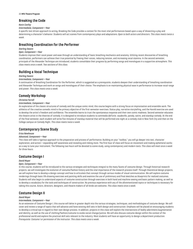## 25 **MFA Theatre Program**

# **Breaking the Code**

## *Kevin Confoy*

## *Intermediate, Component—Year*

A specific text-driven approach to acting, Breaking the Code provides a context for the most vital performances based upon a way of dissecting a play and determining a character's behavior. Students will act scenes from contemporary plays and adaptations. *Open to both actors and directors. This class meets twice a week.*

# **Breathing Coordination for the Performer**

## *Sterling Swann*

#### *Open, Component—Year*

Students improve their vocal power and ease through an understanding of basic breathing mechanics and anatomy. Utilizing recent discoveries of breathing coordination, performers can achieve their true potential by freeing their voices, reducing tension, and increasing vocal stamina. In the second semester, principals of the Alexander Technique are introduced; students consolidate their progress by performing songs and monologues in a supportive atmosphere. *This class meets once a week. Two sections of this class.*

# **Building a Vocal Technique**

# *Sterling Swann*

#### *Intermediate, Component—Year*

A continuation of Breathing Coordination for the Performer, which is suggested as a prerequisite, students deepen their understanding of breathing coordination and Alexander Technique and work on songs and monologues of their choice. The emphasis is on maintaining physical ease in performance to increase vocal range and power. *This class meets once a week.*

# **Comedy Workshop**

#### *Christine Farrell*

## *Intermediate, Component—Year*

An exploration of the classic structures of comedy and the unique comic mind, this course begins with a strong focus on improvisation and ensemble work. The athletics of the creative comedic mind is the primary objective of the first-semester exercises. Status play, narrative storytelling, and the Harold exercise are used to develop the artist's freedom and confidence. The ensemble learns to trust the spontaneous response and their own comic madness. Second semester educates the theatre artist in the theories of comedy. It is designed to introduce students to *commedia dell'arte*, vaudeville, parody, satire, and standup comedy. At the end of the final semester, each student will write five minutes of standup material that will be performed one night at a comedy club in New York City and then on the College campus on Comedy Night. *This class meets twice a week.*

# **Contemporary Scene Study**

## *Erica Newhouse*

## *Advanced, Component—Year*

This class will take a rigorous approach to the preparation and process of performance. Building on your "toolbox," you will go deeper into text, character exploration, and action—expanding self-awareness and revealing and risking more. The first hour of class will focus on movement and making ephemeral works as a way to tune your instrument. The following two hours will be devoted to scene study, using contemporary and modern texts. *This class will meet once a week for three hours.*

# **Costume Design I**

#### *David Moyer*

## *Open, Component—Year*

In this course, students will be introduced to the various strategies and techniques integral to the many facets of costume design. Through historical research projects, we will investigate the evolution of costume/fashion history and the vital importance of the research process itself. Through theoretical design projects, we will explore how to develop a design concept and how to articulate that concept through various modes of visual communication. We will explore costume renderings through basic life drawing exercises and painting skills and examine the use of preliminary and final sketches as blueprints for realized costumes. Students will also begin to understand aspects of costume construction through exercises in both hand and machine sewing and basic pattern making, as well as to develop a vocabulary for the tools and techniques of construction. No previous experience with any of the aforementioned topics or techniques is necessary for taking this course. Actors, directors, designers, and theatre makers of all kinds are welcome. *This class meets once a week.*

# **Costume Design II**

## *David Moyer*

#### *Intermediate, Component—Year*

As an extension of Costume Design I, this course will delve in greater depth into the various strategies, techniques, and methodologies of costume design. We will cover and review a range of topics that will advance and hone existing skill sets in both design and construction. Emphasis will be placed on encouraging students to develop a critical eye in regard to their own design process. In addition, projects in this class will explore the intersections of bodily adornment/augmentation and identity, as well as the use of clothing/fashion/costume to evoke social change/justice. We will also discuss costume design within the context of the professional world and explore the practical skill sets relevant to the industry. Most students will have an opportunity to design a department production. *Prerequisite: Costume I or permission of the instructor. This class meets once a week.*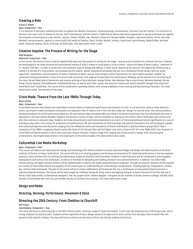# **Creating a Role**

## *Ernest H. Abuba*

## *Open, Component—Year*

It is a sanctum of discovery, enabling the actor to explore non-Western movement: centering energy, concentration, the voice, and the"mythos" of a character to discover one's own truth in relation to the text, both contemporary and the classics. Traditional as well as alternative approaches to acting techniques are applied. Fall semester concentrates on roles: Hamlet, Leontes, Caliban, Othello, Lear, Macbeth, Richard III, Hecuba, Medea, Antigone, Lady Anne,Tamara, Portia, and Lady Macbeth; spring semester, applied to scene study from works by Chekhov, Ibsen, Arrabal, Beckett, Ionesco, Sarah Kane, Amira Baraka, Edward Albee, and Jean Genet. Required reading: *The Art of Acting*, by Stella Adler. *This class meets twice a week.*

# **Creative Impulse: The Process of Writing for the Stage**

## *Sibyl Kempson*

## *Advanced, Component—Year*

In this course, the vectors of pure creative impulse hold sway over the process of writing for the stage—and we write ourselves into unknown territory. Students are encouraged to set aside received and preconceived notions of what it means to write plays or to be a writer—along with ideas of what a play is "supposed to" or "should" look like—in order to locate their own authentic ways of seeing and making; in other words, disarming the rational, the judgmental thinking that is rooted in a concept of a final product, and empowering the chaotic, spatial, associative processes that put us in immediate formal contact with our direct experience, impressions, and perceptions of reality. Emphasis on detail, texture, and contiguity will be favored over the more widely accepted, reliable, yet sometimes limiting Aristotelian virtues of structure and continuity in the making of meaningful live performance. Readings will be tailored to fit the thinking of the class. We will likely look at theoretical and creative writings of Gertrude Stein, George Steiner, Mac Wellman, Maria Irene Fornes, Adrienne Kennedy, Mircea Eliade, Kristen Kosmas, RichardMaxwell, and Roland Barthes, as well as work that crosses into visual art realms and radical scientific thought from physicists David Bohm and F. David Peat. The course will be conducted in workshop fashion, with strong emphasis on the tracking and documenting of process. *This class meets once a week. Two sections of this class.*

# **Crisis Mode: Theatre From the Late 1960s Through Today**

#### *Kevin Confoy*

# *Open, Component—Year*

Crisis Mode examines how theatre has responded to certain events of historical significance and moments of crisis. It is of particular value to those directors, actors, and theatre makers/producers interested in an expansive view of theatre and in how and why a play can change the way we think. The course provides a working foundation for performance and production. We will examine plays and playwrights and theatre movements and styles that have developed and come to expression in the past several decades. Students will discuss a variety of plays, with an emphasis on looking at the world in which those plays were written and why they continue to resonate today. Students will study documentaries and make presentations on events of historical/political/cultural significance as a way of providing a play with a rich context for production and performance. We will concentrate on American plays and political movements but will encompass a global and cultural perspective with discussion ranging from the influential works and innovations of Brecht and Beckett to political theatre groups like El Teatro Campesino of the 1960s, to agitprop theatre events like those of the Vietnam War and Civil Rights eras, and to those of ACT UP in the 1980s AIDS Crisis. Students in Crisis Mode will devise projects to serve their particular theatre interests. Projects range from staging and acting scenes to design work, dramaturgical presentations, and original plays written in the style/spirit of the events studied. *This class meets twice a week.*

# **CultureHub Live Media Workshop**

## *Open, Component—Year*

This course will explore live-feed projection design and technology with theatre students at Sarah Lawrence College and design and video students at the Seoul Institute of the Arts in Ansan, South Korea. The course will focus on creating puppetry and miniature environments for theatrical performance in the two separate locations, Seoul and New York, by utilizing the telepresence studios at SeoulArts and CultureHub. Students in both locations will be introduced to basic puppetry manipulation and construction techniques, as well as to methods for designing and building miniature sets and environments. In addition, live video feeds, chroma keying, and depth-sensing cameras will be implemented to enhance the media and performance landscape. Through the process, students will be exposed to a variety of multimedia theatre and puppetry forms and will gain an understanding of critical design considerations, including lighting, manipulation, chroma key, and live video techniques. The goal of the course will be to create collaborative performances that are a combination of manipulated figures and sets in separate physical locations. The course will be team-taught by: Professor Seung-Ho Jeong, scenic and lighting designer at Seoul Institute for the Arts and one of Korea's most high-profile, in-demand set designers; Tom Lee, puppet artist, theatre designer, and guest faculty member at Sarah Lawrence College; and Billy Clark, director of CultureHub New York City and member faculty of the Seoul Arts Institute. *This class meets once a week.*

# *Design and Media*

# *Directing, Devising, Performance, Movement & Voice*

# **Directing the 20th Century: From Chekhov to Churchill**

#### *Will Frears*

# *Intermediate, Component—Year*

This class will focus on directing plays in the 20th-century canon, covering a range of styles and content. It will cover the whole journey of directing a play, with a strong emphasis on practical work. Students will be required to bring in design research for plays and to direct scenes from the plays, both of which they will present to the class for critique. The class will focus on how to use the text to inform the choices made by the director.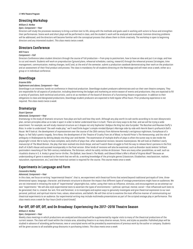# **Directing Workshop**

# *William D. McRee*

# *Open, Component—Year*

Directors will study the processes necessary to bring a written text to life, along with the methods and goals used in working with actors to focus and strengthen their performances. Scene work and short plays will be performed in class, and the student's work will be analyzed and evaluated. Common directing problems will be addressed, and the directors will become familiar with the conceptual process that allows them to think creatively. The workshop is open to beginning directors and any interested student. *This class meets twice a week.*

# **Directors Conference**

## *Will Frears*

## *Component—Fall*

Directors Conference takes student directors through the course of full production—from prep to postmortem, how to have an idea and put it on stage, and how to cut and rework. Students will work on preproduction (ground plans, rehearsal schedules, casting, research) through the rehearsal process (strategies, time management, communication, making changes, tech) and, at the end of the semester, submit a production casebook demonstrating their work on the production and an assessment of their final product and process. The class is mandatory for all students directing on the Mainstage and will meet once a week, either as a group or in individual conference.

# **DownStage**

## *Graeme Gillis*

## *Sophomore and above, Component—Year*

DownStage is an intensive, hands-on conference in theatrical production. DownStage student producers administrate and run their own theatre company. They are responsible for all aspects of production, including determining the budget and marketing an entire season of events and productions; they are expected to fill a variety of positions, both technical and artistic, and to sit as members of the board of directors of a functioning theatre organization. In addition to their obligations to class and designated productions, DownStage student producers are expected to hold regular office hours. Prior producing experience is not required. *This class meets twice a week.*

# **Dramaturgy**

## *Stuart Spencer*

## *Advanced, Component—Year*

Dramaturgy is the study of dramatic structure: how plays are built and how they work. Although any play worth its salt works according to its own idiosyncratic plan, certain principles allow us to take it apart in order to better understand how it is built. There are many ways to do that, and we will be trying a wide assortment. For example, we will study classical structure as it shapes not only Sophocles' *Oedipus the King* but also Euripides' *The Bacchae* and Maureen Duffy's *Rites.* In order to understand "the well-made play," we'll read Émile Augier's simple-minded *Olympe's Marriage* side-by-side with Henrik Ibsen's profound *A Doll's House.* We'll look at: the development of expressionism over the course of the 20th century from Adrienne Kennedy's vertiginous nightmare, *Funnyhouse of a Negro,* to Ted Tally's poetic tragedy, *Terra Nova;* the development of the Theatre of Cruelty from *Jet of Blood,* to Harold Pinter's *The Homecoming*; and the role of ambiguity in Shakespeare by delving deeply into *King Lear* and *Hamlet*. The examination of multiple drafts of plays is often the surest way to see inside the playwright's mind. We're lucky to have complete, early drafts of plays that, after substantial revision, became masterpieces. We will look at Chekhov's early manuscript of *The Wood Demon*, the play that later evolved into *Uncle Vanya*; and we'll watch Ibsen struggle to find the way to release Nora's persona in the first draft of *A Doll's House* and succeed incomparably in the final version. Other kinds of revisions will also be examined, such as Brandon Jacob Jenkins' brilliant postmodern reworking of the 19th-century melodrama, *The Octoroon*, which he subtly retitles *An Octoroon*. There are many other possibilities, as well, such as ritualistic drama in S. A. Ansky's great horror-thriller, *The Dybbuk*; Jean Genet's *The Maids;* and Edward Albee's*Who's Afraid of Virginia Woolf?* Because an understanding of genre is essential to the work that we will do, a working knowledge of the principle genres (classicism, Elizabethan, neoclassicism, realism, naturalism, expressionism, etc.) and their historical context is required for the course. *This course meets once a week.*

# **Experiments in Language and Form**

## *Cassandra Medley*

## *Advanced, Component—Year*

In this class, we focus on writing "experimental theatre"; that is, we experiment with theatrical forms that extend beyond traditional portrayals of time, threedimensional space, language, character, and dramatic structure to discover the impact that different types of onstage presentations might have on audiences. We are not interested in imitating the style of "experimental" playwrights but, rather, using their texts as influence, stimulus, and encouragement as we attempt our own "experiments." We will also style experimental texts to ascertain the types of environments—political, spiritual, mental, social—that influenced such texts to be generated; that is, created. Our aim, first and foremost, is to investigate and explore ways to genuinely investigate and give theatrical expression to our own personal, political, and spiritual interior lives, values, observations, and beliefs. We will then strive to examine the most effective manner of communicating our theatrical experiments to an audience. Our experimental writing may include multimedia presentations as part of the scripted onstage play or performance. *This class meets once a week for four hours (with a lunch break).*

# **Far-Off, Off-Off, Off, and On Broadway: Experiencing the 2017–2018 Theatre Season**

## *William D. McRee*

## *Open, Component—Year*

Weekly class meetings in which productions are analyzed and discussed will be supplemented by regular visits to many of the theatrical productions of the current season. The class will travel within the tristate area, attending theatre in as many diverse venues, forms, and styles as possible. Published plays will be studied in advance of attending performances; new or unscripted works will be preceded by examinations of previous work by the author or company. Students will be given access to all available group discounts in purchasing tickets. *This class meets once a week.*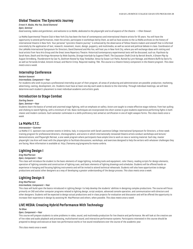# **Global Theatre: The Syncretic Journey**

## *Ernest H. Abuba, Mia Yoo, David Diamond*

#### *Open, Seminar*

*Good evening, ladies and gentlemen, and welcome to La MaMa, dedicated to the playwright and to all aspects of the theatre.* —Ellen Stewart

La MaMa Experimental Theatre Club in New York City has been the host of contemporary and international theatre artists for 55 years. You will have the opportunity to attend performances, meet the artists, participate in workshops led by them, as well as have access to the La MaMa archives on the history of international theatre in New York. Your personal "syncretic theatre journey" is enhanced by the observance of fellow theatre makers and oneself that is informed concretely by the application of text, research, movement, music, design, puppetry, and multimedia, as well as social and political debate in class. Coordinators of the LaMaMa International Symposium for Directors, David Diamond and Mia Yoo, will host you in New York City, where you will exchange ideas with visiting and local artists from Yara Arts Group and the Great Jones Repertory Theatre. Historical/contemporary experimental texts will be discussed, such as: *Psychosis* by Sarah Kane, *Death and the Kings Horseman* by Wole Soyinka, *Strange Interlude* by Eugene O'Neill, *The Caucasian Chalk Circle* by Bertolt Brecht, *A Dream Play* by August Strindberg, *Thunderstorm* by Cao Yu, *Goshram Kwotal* by Vijay Tendulkar, *Venus* by Susan-Lori Parks, *Ruined* by Lynn Nottage, and *Mistero Buffo* by Dario Fo, as well as Fernando Arrabal, Antonin Artaud, and Martin Crimp. Required reading: TBA. *This course is a theatre history component in the theatre program. This class meets once a week.*

# **Internship Conference**

## *Neelam Vaswani*

## *Intermediate, Component—Year*

For students who wish to pursue a professional internship as part of their program, all areas of producing and administration are possible: production, marketing, advertising, casting, development, etc. Students must have at least one day each week to devote to the internship. Through individual meetings, we will best determine each student's placement to meet individual academic and artistic goals.

# **Introduction to Stage Combat**

## *Sterling Swann*

#### *Open, Seminar—Year*

Students learn the basics of armed and unarmed stage fighting, with an emphasis on safety. Actors are taught to create effective stage violence, from hair pulling and choking to sword fighting, with a minimum of risk. Basic techniques are incorporated into short scenes to give students experience performing fights in both classic and modern contexts. Each semester culminates in a skills proficiency test aimed at certification in one of eight weapon forms. *This class meets once a week.*

# **La MaMa E.T.C.**

## *Intersession—Summer*

La MaMa E.T.C. sponsors two summer events in Umbria, Italy, in conjunction with Sarah Lawrence College: International Symposium for Directors, a three-week training program for professional directors, choreographers, and actors in which internationally renowned theatre artists conduct workshops and lecture/ demonstrations; and Playwright Retreat, a one-week program where participants have ample time to work on new or existing material. Each day, master playwright Lisa Kron will meet with the playwrights to facilitate discussions, workshops, and exercises designed to help the writers with whatever challenges they are facing. More information is available at: http://lamama.org/programs/la-mama-umbria.

# **Lighting Design I**

## *Greg MacPherson*

#### *Open, Component—Year*

This class will introduce the student to the basic elements of stage lighting, including tools and equipment, color theory, reading scripts for design elements, operation of lighting consoles and construction of lighting cues, and basic elements of lighting drawings and schedules. Students will be offered hands-on experience in hanging and focusing lighting instruments and will be invited to attend technical rehearsals. Students will also have opportunities to design productions and assist other designers as a way of developing a greater understanding of the design process. *This class meets once a week.*

# **Lighting Design II**

#### *Greg MacPherson*

#### *Intermediate, Component—Year*

This class will build upon the basics introduced in Lighting Design I to help develop the students' abilities in designing complex productions. The course will focus primarily on CAD and other computer programs related to lighting design, script analysis, advanced console operation, and communication with directors and other designers. Students will be expected to design actual productions and in-class projects for evaluation and discussion and will be offered the opportunity to increase their experience in design by assisting Mr. MacPherson and others, when possible. *This class meets once a week.*

# **LIVE MEDIA: Creating Hybrid Performance With Technology**

#### *Tei Blow*

#### *Open, Component—Year*

This course will prepare students to solve problems in video, sound, and multimedia production for live theatre and performance. We will look at the creative use of live video and audio playback and processing, multichannel sound, and interactive performance systems. Participants interested in this course should be prepared to design and execute at least two performance works or live sound installations over the course of the academic year.

*This class meets once a week.*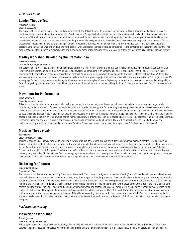# **London Theatre Tour**

# *William D. McRee*

# *Open, Intersession*

The purpose of this course is to experience and examine present-day British theatre: its practices, playwrights, traditions, theatres, and artists. This is a twocredit academic course, and any student enrolled at Sarah Lawrence College is eligible to take the class. During two weeks in London, students will attend a minimum of 12 productions, tour various London theatres, meet with British theatre artists, attend regularly scheduled morning seminars, and make an oral presentation on one of the plays that the group is attending. Plays will be assigned prior to the end of the fall semester, and preparation and research for the presentation should be complete before arriving in London. Productions attended will include as wide a variety of venues, styles, and periods of theatre as possible. Seminars will analyze and critique the work seen, as well as discover themes, trends, and movement in the contemporary theatre of the country. Free time is scheduled for students to explore London and surrounding areas at their leisure*. These intersession credits are registered as academic, not arts, credits.*

# **Medley Workshop: Developing the Dramatic Idea**

## *Cassandra Medley*

## *Intermediate, Component—Year*

The purpose of this workshop is to develop and complete a draft of a final project play of any length. Our focus is on originating character-driven stories that involve multiple events and/or multiple turning points and revelations, concluding with a major crisis and/or consequence for the characters. From the very beginning of the semester, writers create several short drafts of "mini-plays" as we practice the components that lead to effective playwriting. Writers allow various characters, topics, and concerns to be revealed to them as their in-process project(s)take shape. We will also study a selection of full-length plays and/or screenplays for inspiration, guidance, and analysis of various contemporary styles of drama. Styles may be varied; but as dramatists, we are all challenged by a form of storytelling that requires us to try and hold the attention of an audience for a condensed length of "real" time in a public space. *This class meets once a week.*

# **Movement for Performance**

## *David Neumann*

## *Open, Component—Year*

This class will explore the full instrument of the performer, namely the human body. A daily warmup will open the body to larger movement ranges while introducing students to a better functioning alignment, efficient muscle and energy use, full breathing, clear weight transfer, and increased awareness while traveling through space. A combination of improvisation, contact improvisation, set phrases, and in-class assignments creating short movement-based pieces will be used to explore a larger range of articulation that the body reveals regardless of the words spoken on stage. In all aspects, the goals of this class are to enable students to be courageous with their physical selves, more articulate with their bodies, and more personally expressive in performance. No movement background is required, just a healthy mix of curiosity and courage. In addition to occasional reading handouts, there will be opportunities to attend rehearsals and performances of professional theatre and dance in New York City. Please wear loose, comfortable clothing to class. *This class meets twice a week.*

# **Music as Theatre Lab**

# *Stew Stewart*

## *Open, Component—Year*

This lab is open to any artists committed to exploring a variety of music-driven, song-centric, spirit-derived approaches to music-theatre creation. Music as Theater Lab invites students into an investigation of the work of prophets, faith healers, and wild politicians, as well as blues, gospel, and old-school rock-and-roll artists. Commitment to risk-as-truth, with an eye toward creating pieces and performances that conjure transcendence, is a founding principle of the lab. Students will work in ever-shifting teams to create and perform short pieces; e.g., scenes, sermons, songs, or situations that include set and costume designs, choreography, and video. The lab will also feature an ongoing "compare and contrast" investigation of rock music and show tunes, with an emphasis on what we have to learn from those differences about effectively acting and singing. *This class meets once a week for four hours.*

# **No Acting for Camera**

# *Deborah Kampmeier*

## *Component—Year*

The camera is totally uninterested in acting. The camera loves truth. This course is designed to break down "acting" and offer skills and experiential techniques that will allow students to trust their own humanity and bring their unique truth and experience to the work. The class is demanding and nurturing and asks that students be willing to bring their secrets and their vulnerability into the classroom. There will be step-by-step tools offered to guide students to the truth of the moment, the truth of their relationship to self, the truth of their relationship to a scene partner and the world around them, the truth of their relationship to the camera, and the truth of their relationship to the imaginary circumstances and demands of a scene. Students will also be given techniques to determine which part of the self is needed for a particular character and scene and skills to bring that part of the self to work. During the first semester, students will work on crafting a scene for the camera using neutral dialogue. This will mean creating the entire world from the trust and use of self. The second semester will ask students to take what they have learned about using themselves and craft their work to serve the demands of the film or television scene that they have been assigned.

# *Performance/Acting*

# **Playwright's Workshop**

## *Stuart Spencer*

## *Advanced, Component—Year*

Who are you as a writer? What do you write about, and why? Are you writing the play that you want to write? Or that you need to write? Where is the nexus between the amorphous, subconscious wellspring of the material and the rigorous demands of a form that will play in real time before a live audience? This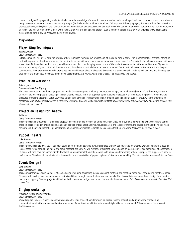course is designed for playwriting students who have a solid knowledge of dramatic structure and an understanding of their own creative process—and who are ready to create a complete dramatic work of any length. (As the late Edward Albee pointed out, "All plays are full-length plays.") Students will be free to work on themes, subjects, and styles of their choice. Work will be read aloud and discussed in class each week. The course requires that students enter, at minimum, with an idea of the play on which they plan to work; ideally, they will bring in a partial draft or even a completed draft that they wish to revise. We will read some existent texts, time allowing. *This class meets twice a week.*

# *Playwriting*

# **Playwriting Techniques**

## *Stuart Spencer*

## *Open, Component—Year*

In this course, you will investigate the mystery of how to release your creative process and, at the same time, discover the fundamentals of dramatic structure that will help you tell the story of your play. In the first term, you will write a short scene, every week, taken from The Playwright's Guidebook, which we will use as a basic text. At the end of the first term, you will write a short but complete play based on one of these short assignments. In the second term, you'll go on to adapt a short story of your choice and then write a play based on a historical character, event, or period. The focus in all instances is on the writer's deepest connection to the material—where the drama lies. Work will be read aloud in class and discussed in class each week. Students will also read and discuss plays that mirror the challenges presented by their own assignments. *This course meets once a week. Two sections of this course.*

# **Production Workshop**

#### *Robert Lyons*

## *Component—Fall and Spring*

The creative director of the theatre program will lead a discussion group (including readings, workshops, and productions) for all of the directors, assistant directors, and playwrights participating in the fall theatre season. This is an opportunity for students to discuss with their peers the process, problems, and pleasures of making theatre at Sarah Lawrence College (and beyond). This workshop is part problem solving and part support group, with the emphasis on problem solving. *This course is required for directing, assistant directing, and playwriting students whose productions are included in the fall theatre season. This class meets once a week.*

# **Projection Design for Theatre**

## *Tei Blow*

#### *Open, Component—Year*

This course is an introduction to theatrical projection design that explores design principles, basic video editing, media server and playback software, content creation, basic projection system design, and show control. Through text analysis, visual research, and lab experiments, the course examines the role of video projection in theatre and interdisciplinary forms and prepares participants to create video designs for their own work. *This class meets once a week.*

# **Puppet Theatre**

#### *Lake Simons*

#### *Open, Component—Year*

This course will explore a variety of puppetry techniques, including *bunraku*-style, marionette, shadow puppetry, and toy theatre. We will begin with a detailed look at these forms through individual and group research projects. We will further our exploration with hands-on learning in various techniques of construction. Students will then have the opportunity to develop their own manipulation skills, as well as to gain an understanding of how to prepare the puppeteer's body for performance. The class will culminate with the creation and presentation of puppetry pieces of students' own making. *This class meets once a week for two hours.*

# **Scenic Design I**

#### *Lake Simons*

#### *Open, Component—Year*

This course introduces basic elements of scenic design, including developing a design concept, drafting, and practical techniques for creating theatrical space. Students will develop tools to communicate their visual ideas through research, sketches, and models. The class will discuss examples of design from theatre, dance, and puppetry. Student projects will include both conceptual designs and production work in the department. *This class meets once a week. There is a \$50 course fee.*

# **Singing Workshop**

## *William D. McRee, Thomas Mandel*

## *Open, Component—Year*

We will explore the actor's performance with songs and various styles of popular music, music for theatre, cabaret, and original work, emphasizing communication with the audience and material selection. Dynamics of vocal interpretation and style will also be examined. *This class meets twice a week. Audition required.*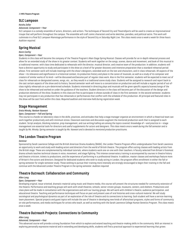# **SLC Lampoon**

#### *Keisha Zollar*

## *Advanced, Component—Year*

SLC Lampoon is a comedy ensemble of actors, directors, and writers. The techniques of Second City and TheatreSports will be used to create an improvisational troupe that will perform throughout the campus. The ensemble will craft comic characters and write sketches, parodies, and political satire. This work will culminate in a final SLC Lampoon Mainstage performance in the style of Second City or *Saturday Night Live*. *This class meets once a week a week for three hours. Audition required.*

# **Spring Musical**

*Kevin Confoy*

# *Open, Component—Year*

Students in this class will become the company of the Theatre Program's Main Stage Spring Musical. Classes will provide for an in-depth rehearsal process and allow for an extended study of the show in its greater context. Students will work together on the songs, scenes, dance and movement, and book of this musical in a traditional manner, with class time dedicated to rehearsals with the director, musical director, and creative team of the production. In addition, students will have a distinct opportunity to study and participate in the show at a level of far greater discovery and intensive preparation than a standard rehearsal period allows. First semester work will include meetings with the show's designers, extended work on the text and characters, and in-class rehearsals. All aspects of the show—its relevance and significance in a historical context, its production history and place in the canon of musicals, as well as a study of its composer and creators of similar works of its kind—will be discussed and become part of regular class work. Also in the first semester, students will be expected to meet out of class for rehearsals on designated scenes, songs, etc., as they would in a traditional scene study class. Students will be assigned to research and report back to the cast certain aspects of the show and its history. Second semester work will move to a concentration on production and will include a regular period of out-ofclass nightly rehearsals on a pre-determined schedule. Students interested in directing plays and musicals will be given specific aspects/scenes/songs of the show to be rehearsed and worked on under the guidance of the teachers. Student directors in the class will become part of the discussion of the design and production elements of the show. Students in this class are free to participate in shows outside of class in the first semester. In the second semester, students may not participate in any production that has rehearsals or performances that conflict with the schedule of this production. All principal and featured roles in the show will be cast from within this class. *Required audition and interview held during registration week.*

# **Stage Management**

# *Greta Minsky, Neelam Vaswani*

## *Open, Component—Fall and Spring*

This course is a hands-on laboratory class in the skills, practices, and attitudes that help a stage manager organize an environment in which a theatrical team can work together productively and with minimum stress. Classroom exercises and discussion augment the mentored production work that is assigned to each student. Script analysis, blocking notation, prop management, and cue writing/calling are among the topics covered. Knowledge of—and practice in—stage management are essential tools for directors and useful supplements for actors and designers. *This class meets once a week during the fall semester and is taught by Ms. Minsky. Spring semester is taught by Ms. Vaswani and is devoted to mentored production practicums.*

# **The London Theatre Program**

## *Seminar*

Sponsored by Sarah Lawrence College and the British American Drama Academy (BADA), the London Theatre Program offers undergraduates from Sarah Lawrence an opportunity to work and study with leading actors and directors from the world of British theatre. The program offers acting classes with leading artists from the British stage. These are complemented by individual tutorials, where students work one-on-one with their teachers. A faculty selected from Britain's foremost drama schools teaches technical classes in voice, movement, and stage fighting. This intense conservatory training is accompanied by courses in theatre history and theatre criticism, tickets to productions, and the experience of performing in a professional theatre. In addition, master classes and workshops feature more of Britain's fine actors and directors. Designed for dedicated students who wish to study acting in London, the program offers enrollment in either the fall or spring semester for single-semester study. Those wishing to pursue their training more intensely are strongly encouraged to begin their training in the fall and continue with the Advanced London Theatre Program in the spring semester. *Audition required.*

# **Theatre Outreach: Collaboration and Community**

# *Allen Lang*

# *Open, Component—Year*

Developing original, issue-oriented, dramatic material using music and theatre media, this course will present the structures needed for community extension of the theatre. Performance and teaching groups will work with small theatres, schools, senior-citizen groups, museums, centers, and shelters. Productions and class plans will be made in consultation with the organizations and with our touring groups. We will work with children's theatre, audience participation, and educational theatre. Teaching and performance techniques will focus on past and present uses of oral histories and cross-cultural material. We will study sociological and psychological dynamics as part of an exploration of the role of theatre and its connections to learning. Each student will have a service-learning team placement. Special projects and guest topics will include the use of theatre in developing new kinds of afterschool programs, styles and forms of community on-site performances, and media techniques for artists who teach, as well as working with the Sarah Lawrence College Human Genetics Program. *This class meets once a week.*

# **Theatre Outreach Projects: Connections to Community**

# *Allen Lang*

# *Advanced, Component—Year*

This advanced course will provide a strong foundation from which to explore and extend teaching and theatre-making skills in the community. With an interest in exploring personally expressive material and in extending and developing skills, students will find a practical approach to experiential learning that grows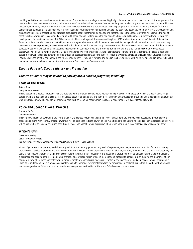teaching skills through a weekly community placement. Placements are usually yearlong and typically culminate in a process-over-product, informal presentation that is reflective of the interests, stories, and experiences of the individual participants. Students will explore collaborating with partnerships at schools, libraries, museums, community centers, prisons, and downtown Yonkers storefronts and other venues to develop original work that will result in a creative forum, with performances concluding in a talkback environ. Historical and contemporary social-political and artistic issues are applied to community work. Class readings and discussions will explore theoretical and practical discussions about theatre making and sharing theatre skills in the 21st century that will examine the role of creative artists working in the community to bring forth social change. Exploring gender, and open to all races and ethnicities, students will work toward the development of a creative ensemble of SLC theatre artists. Class readings and discussions will explore LGBTQ, African American, Latino/Hispanic, Asian/Asian American artistic contributions, and that will provide a strong foundation from which to create new work. Focusing on local, national, and world issues as they pertain to our own experiences, first-semester work will culminate in informal workshop presentations and discussion sessions at a Yonkers High School. Secondsemester class work will culminate in a touring show for the HS Lunchbox Group and intergenerational work with the 50+ Lunchbox Group. First-semester coursework will include a Yonkers tour that visits the Yonkers Downtown Waterfront, as well as important Yonkers cultural attractions. The class is open to all students who want to explore personal material through a sociopolitical lens. Open to dancers, poets, playwrights, actors, and visual artists. Educator John Paul Lederach asks the artist to connect with the "moral imagination"—the ability to "stay grounded in the here and now, with all its violence and injustice, while still imagining and working toward a more life-affirming world." *This class meets once a week.*

# *Theatre Outreach, Theatre History, and Production*

# *Theatre students may be invited to participate in outside programs, including:*

# **Tools of the Trade**

## *Robert Gould*

## *Open, Seminar—Year*

This is a stagehand course that focuses on the nuts and bolts of light and sound board operation and projection technology, as well as the use of basic stage carpentry. This is not a design class but, rather, a class about reading and drafting light plots, assembly and troubleshooting, and basic electrical repair. Students who take this course will be eligible for additional paid work as technical assistants in the theatre department. *This class meets once a week.*

# **Voice and Speech I: Vocal Practice**

# *Francine Zerfas*

# *Component—Year*

This course will focus on awakening the young artist to the expressive range of the human voice, as well as to the intricacies of developing greater clarity of speech and playing with sound. A thorough warmup will be developed to bring power, flexibility, and range to the actor's voice and speech. Exercises and text work will be explored, with the goal of uniting body, breath, voice, and speech into an expressive whole when acting*. This class meets once a week for two hours.*

# **Writer's Gym**

*Cassandra Medley Open, Component—Year You can't wait for inspiration; you have to go after it with a club.* —Jack London

Writer's Gym is a yearlong writing workshop designed for writers of any genre and any level of experience, from beginner to advanced. Our focus is on writing exercises that develop characters and stories—whether for the stage, screen, or prose narration. In addition, we study theories about the nature of creativity. Our goals are as follows: to study writing methods that help to inspire, nurture, encourage, and sustain our urge/need to write; to learn how to transform personal experiences and observations into imaginative dramatic and/or prose fiction or poetic metaphor and imagery; to concentrate on building the inner lives of our characters through in-depth character work in order to create stronger stories; to explore—that is to say, investigate—and gain access into our spontaneous ideas; to articulate and gain a more conscious relationship to the "inner territory" from which we draw ideas; to confront issues that block the writing process; and to gain greater confidence in relation to revision as we pursue clarification of the work. *This class meets once a week.*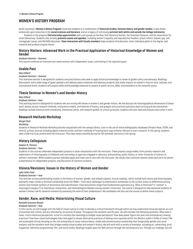# <span id="page-33-0"></span>**WOMEN'S HISTORY PROGRAM**

Sarah Lawrence's **Women's History Program** immerses students in a combination of **historical studies, feminist theory, and gender studies**. It also draws extensively upon resources in the **social sciences and literature**, and on a legacy of continuing **activism both within and outside the College community**.

Students in the program **find internship opportunities** with such groups as the New York Historical Society, the Tenement Museum, and the Association for Union Democracy. Students also actively **promote causes and agendas**, including women's equality and reproductive freedom; prison reform; lesbian, gay, and transgender issues; and HIV/AIDS education. **Close interaction with faculty members** helps students find direction, chart individual paths to the degree, and research and produce original theses.

# **History Matters: Advanced Work in the Practical Application of Historical Knowledge of Women and Gender**

## *Graduate Seminar—Summer*

This course combines an intensive one-week seminar with independent study, culminating in the capstone paper.

# **Usable Past**

## *Mary Dillard*

#### *Graduate Seminar—Summer*

This intensive seminar is designed for students and practitioners who seek to apply historical knowledge to issues of gender policy and advocacy. Readings, discussions, and a wide range of guest speakers will address policy initiatives and advocacy projects that make impacts on women's lives on local, national, and international levels. Students will acquire skills and knowledge essential to careers in public service, NGOs, and elsewhere in the nonprofit sector.

# **Thesis Seminar in Women's and Gender History**

#### *Mary Dillard*

#### *Graduate Seminar—Year*

This yearlong course is designed for students who are writing MA theses in women's and gender history. We will discuss the historiographical dimensions of thesis work; assess various research methods, interpretive models, and theories of history; and grapple with practical questions about writing and documentation. Readings include historical with scholarship, theoretical works, and research guides. At critical junctures, students will also read and evaluate each other's work.

# **Research Methods Workshop**

# *Margot Note*

#### *Workshop*

Students in Research Methods Workshop become acquainted with the campus library, train in the use of online bibliographic databases (Project Muse, JSTOR, and others), primary sources including digital material online, and learn methods of locating hard-copy archives relevant to one's research. In the spring, students take a field trip to an archive with the instructor. This class meets monthly during the fall semester and once in the spring.

# **History Colloquium**

## *Nadeen M. Thomas*

#### *Graduate Seminar—Year*

Students in this course undertake independent projects in close consultation with the instructor. These projects range widely, from primary research and explorations of historiography to fieldwork and internships at agencies engaged in advocacy, policymaking, public history, or other initiatives of interest to women's historians. While students pursue individual goals and meet one-to-one with the instructor, the whole class convenes several times each term for dinner, presentations on independent projects, and discussion of common concerns.

# **Visions/Revisions: Issues in the History of Women and Gender**

#### *Lyde Cullen Sizer*

#### *Graduate Seminar—Year*

This seminar surveys pathbreaking studies in the history of women, gender, and related subjects. Course readings, which include both theory and historiography, exemplify major trends in feminist scholarship since the 1960s—from early challenges to androcentric worldviews to the current stress on differences among women and multiple systems of dominance and subordination. Class discussions range from fundamental questions (e.g., What is feminism? Is "women" a meaningful category?) to theoretical, interpretive, and methodological debates among women's historians. The course is designed to help advanced students of women's history clarify research interests by assessing the work of their predecessors. MA candidates will also use the course to define thesis projects.

# **Gender, Race, and Media: Historicizing Visual Culture**

## *Rachelle Sussman Rumph*

#### *Graduate Seminar—Year*

In this course, we will engage with the field of visual culture in order to develop a critical framework through which we may understand visual perception as a *set of practices* that inform, and are informed by, structures of power. Throughout the semester and the year, we will consider the following questions: What does it mean, from a historical perspective, to live in a society that seemingly privileges visual perception? How does power figure into past and contemporary viewing practices? How have visual technologies been leveraged to situate alternative practices of looking more squarely within the Western public's fields of vision? We will accomplish this by focusing on the rich scholarship of visual culture theory; media and communication scholarship that foregrounds gender and racial analysis; and the excellent work that bridges media/visual studies and women's history. We will work with a variety of examples, including art, advertising, print magazines, television programming, film, and social media. Readings roughly span the 19th century through the contemporary era. Through our readings, we will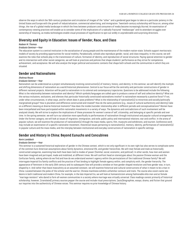observe the ways in which the 19th-century production and circulation of images of the "other" and a gendered gaze began to take on a particular potency in the United States and Europe with the growth of industrialization, commercial advertising, and immigration. Twentieth-century scholarship will focus on, among other things, the rise of a global media landscape in which the lines between producers and consumers of media become increasingly blurred. An examination of contemporary viewing practices will enable us to consider some of the implications of a radically fractured "mediascape" and its attendant struggles over ownership of meaning, as media technologies enable visual processes of signification to spin out wildly in unpredictable and surprising directions.

# **Diversity and Equity in Education: Issues of Gender, Race, and Class**

#### *Nadeen M. Thomas*

#### *Graduate Seminar—Year*

The education system is a central institution in the socialization of young people and the maintenance of the modern nation-state. Schools support meritocratic models of society by providing opportunities for social mobility. Paradoxically, schools also reproduce gender, racial, and class inequality. In this course, we will examine the roles that schools play in the transmission of culture, formation of identity, and reproduction of social structures. Paying special attention to gender and its intersection with other social categories, we will look at practices and policies that shape students' performance as they strive for competence, achievement, and acceptance. We will also analyze the larger political and economic contexts that shape both schools and the communities in which they are situated.

# **Gender and Nationalisms**

#### *Shahnaz Rouse*

## *Graduate Seminar—Year*

Nationalism can be understood as a project simultaneously involving construction(s) of memory, history, and identity. In this seminar, we will identify the multiple and shifting dimensions of nationalism as a world historical phenomenon. Central to our focus will be the centrality and particular constructions of gender in different national projects. Attention will be paid to nationalism in its colonial and contemporary trajectories. Questions to be addressed include the following: What is the relationship between nationalism and identity? Which symbols/languages are called upon to produce a sense of self and collective identity? What are the various inclusions, exclusions, and silences that particular historically constituted nationalisms involve? Is nationalism necessarily a positive force? If not, under what circumstances, in what ways, and for whom does it pose problems? What is the relationship of nationalism(s) to minorities and socially/politically marginalized groups? How is pluralism and difference constructed and treated? How do the same positions (e.g., issues of cultural authenticity and identity) take on a different meaning at diverse historical moments? How does the insider/outsider relationship alter in different periods and conceptualizations? Women have been interpellated and have participated within nationalist movements in a variety of ways. The dynamics and contradictions of such involvement will be analyzed closely. We will strive to explore the implications of these processes for women's sense of self, citizenship, and belonging at specific periods and over time. In the spring semester, we will turn our attention more specifically to performances of nationalism through institutional and popular cultural arrangements. Under the former category, we will look at issues of migration, immigration, and exile; public policy and international relations; war and conflict. In the arena of popular culture, we will examine the production of nationalism(s) through the mass media, sports, film, museums and exhibitions, and tourism. Conference work may include an examination of a specific nationalist movement, theoretical issues pertaining to nationalism(s), memory, identity, performances of nationalism(s) in popular culture and the mass media, and the interplay between institutional and everyday constructions of nationalism in specific settings.

# **Gender and History in China: Beyond Eunuchs and Concubines**

#### *Kevin Landdeck*

#### *Graduate Seminar—Year*

This seminar is a sustained historical exploration of gender in the Chinese context, which is not only significant in its own right but also serves to complicate some of the common Euro-American assumptions about family dynamics, emotional life, and gender hierarchies. We will treat female and male as historically constructed categories, examining how both have been tied to modes of power (familial, social, economic, and political). In other words, how men and women have been imagined and portrayed, made and mobilized, at different times. We will confront head on stereotypes about the passive Chinese woman and the Confucian family, asking where do we find and how do we understand women's agency within the permutations of the traditional Chinese family? We will interrogate Imperial Era family conflicts and the practice of foot binding to highlight female agency within, and complicity with, the gender hierarchy. The appearance of feminism in the early 20th century and its subsequent fate will provide a window on how gender shaped revolution and how gender was, in turn, shaped by it. And rather than leave masculinity as an assumed constant, we will examine historical and cultural constructions of what it meant to be a man in China: Located between the poles of the scholar and the warrior, Chinese manliness exhibits unfamiliar contours and traits. The course also covers same-sex desire in both traditional and modern China. For example, in the late Imperial Era, we will look at homoeroticism among fashionable elite men and at female "marriage resisters" who dared to form all-women communities in a society where marriage was virtually universal. Class readings consist primarily of historical scholarship; however, (translated) primary sources pepper the course and include ritual prescriptions, (auto)biographies, essays, drama, and fiction that ground our inquiries into the authenticity of Chinese voices. This seminar requires no prior knowledge of Chinese history.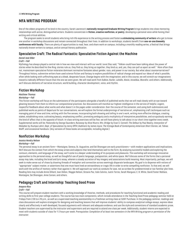# <span id="page-35-0"></span>**MFA WRITING PROGRAM**

One of the oldest programs of its kind in the country, Sarah Lawrence's **nationally recognized Graduate Writing Program** brings students into close mentoring relationships with active, distinguished writers. Students concentrate in **fiction, creative nonfiction, or poetry**, developing a personal voice while honing their writing and critical abilities.

The program seeks to enroll students who bring rich life experience to the writing process and fosters **a stimulating community of writers** who get to know one another in workshop discussions and remain connected throughout their lives. In addition to workshops, students benefit from **one-on-one biweekly conferences with faculty**. There are plenty of opportunities to read, hear, and share work on campus, including a monthly reading series, a festival that brings nationally known writers to campus, and an annual literary publication.

# **Speculative Craft: The Radical Fantastic: Speculative Fiction Against the Machine**

# *Daniel José Older*

#### *Craft—Fall*

Mythology has always played a central role in how we view and interact with our world. Junot Díaz said, "Tolkien could have been talking about the power of stories when he described his One Ring: stories rule us, they find us, they bring us together, they bind us, and, yes, they can pull us apart as well." More often than not, mainstream speculative fiction reiterates dominant normative fantasies about gender, race, and power in our society. But what about counternarratives? Throughout history, subversive writers have used science fiction and fantasy to explore possibilities of radical change and expand our ideas of what's possible, often while looking with unflinching eyes at a bleak, desperate future. Change begins with the imagination; and in this course, we will stretch our imaginations toward a radically different future than the one we were given. We will read work from DuBois, Butler, LaValle, Alexie, Anzaldúa, Okorafor, and others. Additionally, we'll discuss elements of narrative structure, world building, character development, voice, and rhythm.

# **Fiction Workshop**

## *Matthew Thomas*

## *Workshop—Fall*

This fiction workshop will focus on the submissions of the participants alongside a handful of published works that we will read closely with an eye toward gleaning lessons from them to inform our compositional practices. Our discussions will marshal our highest intelligence in the service of helpful, cogent, respectful feedback about what works and what doesn't in the pages under consideration. Over the course of the semester, and using both submissions and published works as points of departure for our conversations, we will explore the formal underpinnings of narrative art, emphasizing craft techniques such as: managing point of view and time, writing with the five senses, incorporating both showing and telling in one's work, writing more effective dialogue, creating stakes, establishing voice, cultivating beauty, emphasizing conflict, promoting ambiguity and a multiplicity of interpretive possibilities, and scrupulously earning the kind of affect that is the opposite of kitsch. In-class writing exercises will be few; we will have plenty to talk about in our short time together every week. Supplemental works will be: *Pastoralia* by George Saunders; *Runaway* by Alice Munro; *Mrs. Bridge* by Evan S. Connell; *The Sellout* by Paul Beatty; *Interpreter of Maladies* by Jhumpa Lahiri; *Dept. of Speculation* by Jenny Offill; *Dubliners* by James Joyce; *The Vintage Book of Contemporary American Short Stories*, ed. Tobias Wolff; and occasional handouts. (Any versions of these books are acceptable, including digital.)

# **Nonfiction Workshop**

## *Jessica Hendry Nelson*

## *Workshop—Fall*

The personal essay is an ancient form—Montaigne, Seneca, St. Augustine, and Sei Shonogan are early practitioners—with modern applications and implications. We'll discuss the context from which the essay arises and subjects that lend themselves well to the form. By analyzing successful models and exploring the contours, elements, and language of the essay, we'll come to a deeper understanding of its purposes and pleasures. This workshop will encourage innovative approaches to the personal essay, as well as thoughtful use of poetic language, juxtaposition, and white space. We'll discuss some of the forms that a personal essay may take, including the braid and lyric essay, wherein a steady accretion of key imagery and associations build meaning. Most importantly, perhaps, we will seek to make sense out of chaos by drawing threads of metaphor and connection across seemingly disparate landscapes. My goal is to dispense with notions of "appropriate" subject matter, or assertions that one must have lived an extraordinary or tragic life in order to write compelling nonfiction. To that end, we will work *with* the artifice of memory rather than against it. We will approach our work as conduits for awe, not as scribes for predetermined or too-familiar plot lines. Reading lists may include Annie Dillard, Joan Didion, Maggie Nelson, Octavio Paz, Italo Calvino, Justin Torres, Sarah Manguso, E. B. White, David Foster Wallace, Montaigne, Sei Shonogan, Anne Carson, and others.

# **Pedagogy Craft and Internship: Teaching Good Prose**

# *Amparo Rios*

*Craft—Fall*

This course will prepare student-teachers with a working knowledge of theories, methods, and procedures for teaching functional and academic reading and writing skills to first-year college students. The course has two main components, which include attendance in the Teaching Good Prose pedagogy seminar held on Fridays from 2:30 to 4:10 p.m., as well as a supervised teaching assistantship in a freshman writing class at SUNY Purchase. In the pedagogy seminar, readings and class discussions will explore strategies for designing and teaching lessons that will improve students' ability to compose analytical college essays; express ideas clearly and effectively in well-developed, focused arguments with relevant and adequate evidence; and use the style and conventions of standard academic prose. Student-teachers are supervised by the instructor and supervisors and are required to attend one class per week. Additionally, student-interns are expected to meet with students outside of class for 1-2 hours per week. *Prerequisites: Completion of at least two semesters in the MFA Writing program or permission of the instructor.*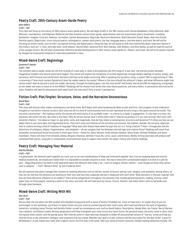# **Poetry Craft: 20th-Century Avant-Garde Poetry**

# *Alan Gilbert*

# *Craft—Fall*

This class will focus on the history of 20th-century avant-garde poetry. We will begin briefly in the 19th century with Charles Baudelaire, Emily Dickinson, Walt Whitman, Lautréamont, and Stéphane Mallarmé and then examine various avant-garde, experimental, and non-mainstream poetry movements, including Symbolism, Imagism, Futurism, Dadaism, Surrealism, Harlem Renaissance, Négritude, Black Arts Movement, Black Mountain School, Beats, New York School, feminist poetry, Objectivism, cross-cultural poetics, ethnopoetics, spoken-word poetry, hip-hop, language poetry, concrete poetry, and more. We will end by focusing on recent trends, such as Flarf, conceptual writing, and digital poetry. Along the way, we will pause to talk more extensively about important figures in this history, such as T. S. Eliot, Gertrude Stein, Aimé Césaire, Charles Olson, Adrienne Rich, Amiri Baraka, John Ashbery, and Alice Notley, as well as read the work of a few younger writers. We will also occasionally reference parallel developments in 20th-century avant-garde art, theatre, and music. We will write poems inspired by, though not necessarily imitative of, materials presented in class.

# **Mixed-Genre Craft: Beginnings**

## *Suzanne R. Hoover*

## *Craft—Fall*

The moment when a spider sends out the first strands of a new web, or when a bird positions the first twigs of a new nest, the eternal contest between imaginative freedom and natural constraints begins. This course will explore the complexity of written beginnings through weekly readings of poems, essays, and narratives, both fictional and nonfictional. Decisions will have to be made concerning: Who is speaking the narrative, essay, or poem? Who is experiencing it? Who is receiving it? How much context (backstory) does the reader need at the outset? Where in the story should the telling of it begin, and what difference might that choice make? How do we pull or push the reader, decisively, through the looking glass, into this new world? And finally, how do we END the beginning, intriguingly, so the reader will want to move on to the MIDDLE? Readings will be chosen from works that raise these questions, and many others, in provocative and instructive ways. Students will lead the discussions each week (with the instructor) from a writer's perspective.

# **Fiction Craft: Plot/Unplot: Structure, Voice, and the Narrative Unconscious**

# *David Ryan*

# *Craft—Fall*

This class will discuss what makes contemporary narrative move. We'll begin with some fundamental ideas on plot and form, then progress to less traditional thoughts on narrative's internal circuitry. Each story we tell is a kind of consciousness with its own repressed activity living in the space around the words. This narrative unconscious—the madness within the syntax and word choice of its symbolic order—is critical to a reader's engagement. It's the heat in a story, the daemonic life within the text. But what is this heat? Why do certain stories have it while others don't? How do we produce it in our own writing? We'll start with Aristotle's *Poetics*—his ideas on tragic vs. epic plots, unity, and magnitude. How do they relate to contemporary structure and dynamics? I'll show you how we can adapt them to suit more open and fragmented forms. Then we'll move into theories of the narrative unconscious: the sublime, Duende, the uncanny, abjection. How is creative writing a kind of madness of language? What does John Dewey mean when he says that art is a "living creature"? How—through plot and the distortions of ambiguity, ellipsis, fragmentation, and metaphor—do we navigate that line between internal logic and creative force? Readings will move from somewhat conventional formal structures to more open forms—Paula Fox, Denis Johnson, Emily Holmes Coleman, Henry Green, Michael Ondaatje, and Jenny Erpenbeck. Theory will draw from Aristotle, Dewey, Bergson, Chatman, Barthes, Freud, Bly, Lorca, Lacan, and Kristeva. Weekly writing exercises will produce selfcontained flash pieces, using plot in compressed, unconventional ways to support and counter the week's theory and creative readings.

# **Poetry Craft: Managing Your Material**

# *Martha Rhodes*

# *Craft—Fall*

*In a good poem, the elements work together as a unit, just as our own combinations of body and mind work together. But if we are studying body and mind as medical students do, we would soon realize that it is impossible to consider all parts at once. The way to deal with a complicated subject is to look at it part by part.…[Regarding poetry,] we have to talk separately about the elements that make it up—such as imagery, diction, rhythm—even though we know they cannot exist in isolation.* —from "Western Wind" by John Frederick Nims

We will examine how poets manage their content by isolating elements such as diction, syntax, structure, pacing, tone, imagery, and metaphor, among others, so that we can see how the elements are working on their own and how they cooperate and don't cooperate with each other. What decisions is the poet making? And how do those decisions influence us as readers? There will be assignments throughout the semester that include generating poems, reading, writing a short paper (two-to-three pages), teaching a poem to the class, and more. We will read work by Carson, Francis, McClain, and many others, both as full books and through class handouts.

# **Mixed-Genre Craft: Writing With Wit**

# *Dan Zevin*

## *Craft—Fall*

Did you hear the one about the MFA student who blended strong prose with a sense of humor? Probably not, since so many don't. Or maybe they're just not encouraged. In this workshop, you'll learn to inject humor into your work by connecting with your comic voice. We'll read and discuss the work of legendary humorists, including James Thurber and Dorothy Parker, as well as contemporary wits such as David Sedaris, Nora Ephron, Woody Allen, Ian Frazier, Merryl Markoe, Fran Lebowitz, and Sloane Crosley. Writing assignments will help strengthen your voice across four basic forms: the personal essay, the comic novel or short story, the topical news column, and the parody piece. We'll also do some in-class exercises designed to shake off preconceived notions of "literary" prose and help you find the funny in the characters, dialogue, and situations that you create. Whether your goal is to pen a Shouts and Murmurs piece for *The New Yorker*, a post for *McSweeney's*, or just loosen your style with a lighter touch, the first step is the same: Take your sense of humor seriously. Sample reading selections include: *The*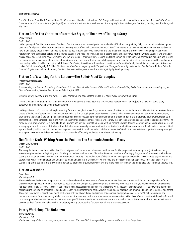## 37 **MFA Writing Program**

*Fun of It: Stories From The Talk of the Town, The New Yorker,* Lillian Ross, ed.; *I Found This Funny,* Judd Apatow, ed.; selected interviews from *And Here's the Kicker: Conversations With Humor Writers* (Sachs, ed.) and *How To Write Funny,* John Kachuba, ed.; *Saturday Night*, Susan Orlean; *Me Talk Pretty One Day*, David Sedaris; and *The Onion.*

# **Fiction Craft: The Varieties of Narrative Style, or The How of Telling a Story**

# *Wesley Brown*

# *Craft—Fall*

In the opening of Toni Morrison's novel, *The Bluest Eye*, the narrator acknowledges to the reader the difficulties in explaining "Why" the calamities visited upon a particular family occurred—but then adds that the story as it unfolds will concern itself with "How." This seems to be the challenge for every writer: to discover how to tell a story about the lives of specific human beings that will convey to the writer and the reader the meaning of those lives from perspectives which neither may have considered before. In this course, students will read 10 novels, along with essays about and interviews with the writers. Students will engage in class discussions, examining how particular narrative strategies—epistolary; first, second, and third person; multiple narrative perspective; dialogue and interior driven narratives; nonsequential narrative; story within a story; and mix of fiction and autobiography—are used by writers to present readers with a challenging relationship to the story they are trying to tell. Books: *84 Charing Cross Road* by Helen Hanff*, The Meursault Investigation* by Kamel Daoud*, The Plague of Doves* by Louise Erdrich*, Snowdrops* by A.D. Miller, *The Real Life of Alejandro Mayta* by Mario Vargas Llosa*, The Appointment* by Herta Muller*, The Whites* by Richard Price*, An Ishmael of Syria* by Asaad Almohammed*, The Blind Assassin* by Margaret Atwood, and *Making It Up* by Penelope Lively.

# **Fiction Craft: Writing for the Screen—The Bullet-Proof Screenplay**

# *Frederick Michael Strype*

## *Craft—Fall*

*Screenwriting is not so much a writing discipline as it is one allied with the tenants of the oral tradition of storytelling. In the best scripts, you are telling us your film.* —Screenwriter/Director, Paul Schrader, Telluride, CO, 1989

*In screenwriting, you show. You don't tell.* —Classic screenwriting adage (attributed to just about every screenwriting guru)

*I wrote a beautiful script, and 'they' shot it—shot it full of holes—and made a terrible film. —*Classic screenwriter lament (attributed to just about every screenwriter unhappy with his/her produced work)

In this graduate craft class, we will explore writing for the screen, be it silver, flat, computer-based, for iPad or smart-phone, et al. The aim is to understand how to create a "bullet-proof screenplay" in which a writer "tells" a film through prose that effectively "shows" what we see and what we hear moment-to-moment, articulating the action ("the doing") of the characters and thereby revealing the emotional moments of recognition in the characters' journey. Structured as a combination of seminar craft class along with some workshop-style exchanges, writers will journey through the nature and construct of the screenplay form. The fundamentals of character, story, world building, universe and setting, formatting, visual writing, dramatic action, tension, conflict, sequence structure, acts, and screenplay style will be explored. Analysis of published screenplays and peer work within the context of a productive environment will help writers hone a critical eye and develop skills to apply to troubleshooting one's own work. Overall, the writer builds a screenwriter's tool kit for use as future opportunities may emerge in writing for the screen. Skills learned in this craft class can be effectively applied to other threads of writing.

# **Nonfiction Craft: Writing From the Podium: The Sermonic American Essay**

## *Vinson Cunningham*

## *Craft—Fall*

The essay, in its American incarnation, is a direct outgrowth of the sermon—developed out loud and for the purpose of persuading (and, just as importantly, entertaining) an audience. Beginning with Winthrop on the boat and Jonathan Edwards's *Sinners in the Hands of an Angry God*, our nonfiction tradition has been coaxing and argumentative, insistent and not infrequently irritating. The implications of this sermonic heritage can be found in the sentences, styles, voices, and attitudes of writers from Emerson and Douglass to Didion and Sontag. In this course, we will read and discuss sermons and speeches from the likes of Martin Luther King, Gloria Steinem, and Billy Graham, as well as a range of argumentative essays, and make work informed by the tendencies and strategies that we find.

# **Fiction Workshop**

## *David Ryan*

## *Workshop—Fall*

This workshop will take a hybrid approach to the traditional roundtable discussion of student work. We'll discuss student work but will also spend significant class time talking about theories on narrative structure and form, linguistics, psychology, and philosophy. We'll read and analyze published fiction and creative nonfiction that illustrates how the theory can leave the conceptual realm and be useful to creating work. Because, as important as it is to be writing as much as possible right now, it's as important to bend and broaden your understanding of the ways in which people perceive and dream and hope and remember and forget. These are the drivers of narrative as much as they are of living. So we'll read and discuss philosophical and psychological texts, we'll look into dreams and memory, metaphor, formal symmetry, dialectical method, the uncanny, desire, and whatever else seems suited to the class. Where in past workshops I've focused on shorter published work to read—short stories, mostly—I'd like to spend time on entire novels and story collections this time around, with a couple of weeks devoted to flash fiction. We'll also work on mandatory writing prompts that further internalize the class discussions.

# **Poetry Workshop: The Unknown**

# *Matthea Harvey Workshop—Fall What moves people's hearts, in every case, is the unknown….If so, wouldn't it be a good thing to unknow the world?* —Kenya Hara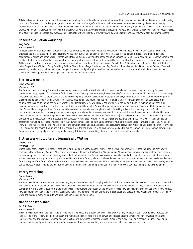This is a class about curiosity and inquisitiveness, about walking forward into the unknown and backward into the unknown. We will read texts in this vein, taking inspiration from Kenya Hara's design text, *Ex-formation*, and Yoko Ono's *Grapefruit*. Students will be expected to undertake biweekly, class-created writing experiments, such as: "Go to a part of the city that you've never been to before. Spend one hour on a bench looking only at people's feet. Write a poem." Texts and themes will include: *Ex-formation* by Kenya Hara, *Grapefruit* by Yoko Ono*, Time/Here* by Richard McGuire*, Animals/What did We Do Wrong?* by Fanny Howe*, Love Love, an Index* by Rebecca Lindenberg*, Language/Look* by Solmaz Sharif*, Size/Complete Minimal Poems* by Aram Saroyan*,* and *Sleep/A Pillow Book* by Suzanne Buffam.

# **Speculative Fiction Workshop**

## *Nelly Reifler*

#### *Workshop—Fall*

Although every work of fiction is a fantasy, fiction writers often strive to portray reality. In this workshop, we will focus on writing and reading fiction that embraces the fantastic. We will focus on creating worlds from our dreams and daydreams. We'll treat our stories as laboratories of the imagination that accommodate daring and complex experiments. We'll talk about subjectivity and the scope of human perception—and explore how much of what we agree to call reality is itself a fantasy. We will also examine the precedents set in science fiction, fantasy, and other areas of literature that deal with the realms of the unreal. Authors whose work you may read for class or conference include Franz Kafka, Jorge Luis Borges, Philip K. Dick, William Burroughs, Octavia Butler, Judy Budnitz, Helen Oyeyemi, Karin Tidbeck, Cathy Park Hong, William Gibson, Paul LaFarge, Shelly Jackson, Ray Bradbury, Ursula LeGuin, David Ohle, Samuel Delaney, Yasunari Kawabata, Angela Carter, and Dolan Morgan, along with theorists and philosophers such as Jean Baudrillard and Markus Gabriel. We'll identify and discuss conventions within genres, both working within them and pushing against them.

# **Fiction Workshop**

# *David Hollander*

#### *Workshop—Fall*

The formulaic nature of many fiction-writing workshops seems (to me) antithetical to what it means to make art. I've been trying desperately for years now—with varying degrees of success—to find a way to "teach" writing that feels open, honest, and playful. Want to know what I'd like? For a class to encourage innovation and experimentation, to come to the collective epiphany that the possibilities for story are endless, and for not everything that comes through the classroom to be discussed in terms of what John Hawkes once called "the enemies of fiction"—plot, character, setting, and theme. I am suspicious of peer critique that uses, as its engine, the words "I want." In an ideal situation, we would try to see stories from the inside out and try to imagine how they might become more purely what they are rather than something we want them to be. We would value language, style, and structure. Voice would take precedence over plot. We would encourage ambitious failure more than careful success. We would applaud a writer for taking a risk rather than bury him/her for the risk's inscrutability. We wouldn't treat every story as something to be made publication-ready and wouldn't be so small-bore in the way we think and talk. These are ideas, of course, and tell you nothing about how I actually run my classroom. So here are a few things I'm (relatively) sure about. Each student will bring at least one story into the classroom over the course of the semester. We will often write in response to prompts designed to help you find a voice, take a chance, do something you wouldn't expect of yourself. We will, on two or three occasions, take a break from our routine to discuss a great (and, for those of you who don't know me, likely unorthodox) novel. We will try to spend some time talking about aesthetics and discussing essays from writers of all stripes who think they've got it all figured out. It's having it all figured out that scares me. In the end, I want us to follow Socrates' lead and to realize that we only know that we know nothing. Every class should be equal parts rigor, play, and discovery. If this sounds interesting, show up—and we'll work out the details.

# **Fiction Workshop: Literary Journals and Writing**

## *Carolyn Ferrell*

#### *Workshop—Fall*

Where do the stories come from that are featured in anthologies like *Best American Poetry* or the *O. Henry Prize Stories*? How does the fiction in *Paris Review* compare to that of *Prairie Schooner*? What sort of writers are published in *Tin House*? In *Ploughshares*? Who publishes in reviews and journals to begin with? In this workshop, we will read various literary journals, both online and in print format, as a way to answer these and other questions, as well as to discover new voices. In terms of writing, this workshop will be held in a traditional format, wherein students deliver their work a week in advance of the workshop and write up formal critiques of the fiction of their fellow writers. There will be writing exercises in addition to weekly readings of journals and critical essays. Literary journals can be sources of great reading and inspiration; becoming familiar with them might help you figure out where your own fiction might one day find a home.

# **Poetry Workshop**

## *Dennis Nurkse*

#### *Workshop—Fall*

This course will focus intensively and humanistically on participants' own work. Roughly a third of the discussion time will be devoted to classics and to work that will never be found in the canon. We'll pay close attention to the development of the individual voice and examine poetics, prosody, issues of form and tone in contemporary and classical poetics, and the radically experimental text. We'll focus on the revision process: How do artists push themselves toward new worlds? How do poets achieve spontaneity without sacrificing rigor? How do texts reconcile clarity and unpredictability? Expect to read widely, to approach texts in new ways, and to create many wild drafts and a finished portfolio of six to ... poems.

# **Nonfiction Workshop**

## *Jacob Slichter*

#### *Workshop—Fall*

This course is intended to help each student settle into his/her voice and produce work that resonates with his/her distinct set of experiences, interests, and insights. The prime focus will be personal essay and memoir. The coursework will include workshop pieces that students develop in conversation with the instructor and shorter exercises intended to open the student's awareness of his/her process. Students can expect to do an extensive amount of revision, to engage in a deepened practice of reading, and to draw connections between writing and other creative fields such as music and film.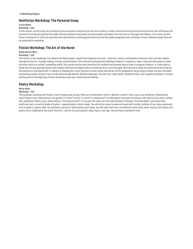# **Nonfiction Workshop: The Personal Essay**

# *Jo Ann Beard*

# *Workshop—Fall*

In this course, we will study the writings of great essayists to discover how the form works to create universal meaning from personal stories. We will discuss the process of writing and practice (through informal classroom exercises) moving thoughts and ideas from the mind to the page with fluency. From there, we will focus on elements of craft and style and work specifically on writing good sentences and then good paragraphs and, ultimately, formal, polished essays that will be submitted to workshop.

# **Fiction Workshop: The Art of the Novel**

## *Nicole Dennis-Benn*

## *Workshop—Fall*

The novel is a vast landscape; but despite the liberal space, a good novel requires structure—direction, motive, and dynamic characters that will take readers through the terrain. Through reading, writing, and discussion, this intensive workshop will challenge students to expand on ideas, using the tools given to make the novel work as a unified, compelling whole. This course may be more beneficial for students who already have a novel in progress; however, it is also open to those who are just getting started. Each student will have the opportunity to workshop twice, up to 25 pages. We'll discuss at least two selected works to aid our discussions on technique/craft in relation to shaping your novel. Excerpts of other books and stories will be assigned as we go along to better aid your individual storytelling process. Authors may include Chimamanda Adichie, NoViolet Bulawayo, Toni Morrison, Zadie Smith, Elizabeth Strout, and Jacqueline Woodson. Prompts will be given at the beginning of every workshop to get your creative juices flowing.

# **Poetry Workshop**

## *Marie Howe*

## *Workshop—Fall*

This graduate workshop will involve a lot of reading and writing. What are the dominant myths in Western culture? How is your own worldview influenced by them? What is your relationship to the garden? To time? To error? To form? To wholeness? To brokenness? How does the manner (the how) of your poems reflect that worldview? What is your relationship to "the natural world"? If you join this class, you will read *The Book of Genesis*, *The Greek Myths*, and many other nonfiction texts, as well as books of poems—approximately a book a week. You will write a poem a week and meet with another member of our class community once a week in a poetry date. You will keep a journal of observations each week. You will meet with me in a conference every other week. And you will collect your poems into a chapbook at the end of the term. I ask for full participation, deep inquiry, and rigor. We will have a wonderful time.